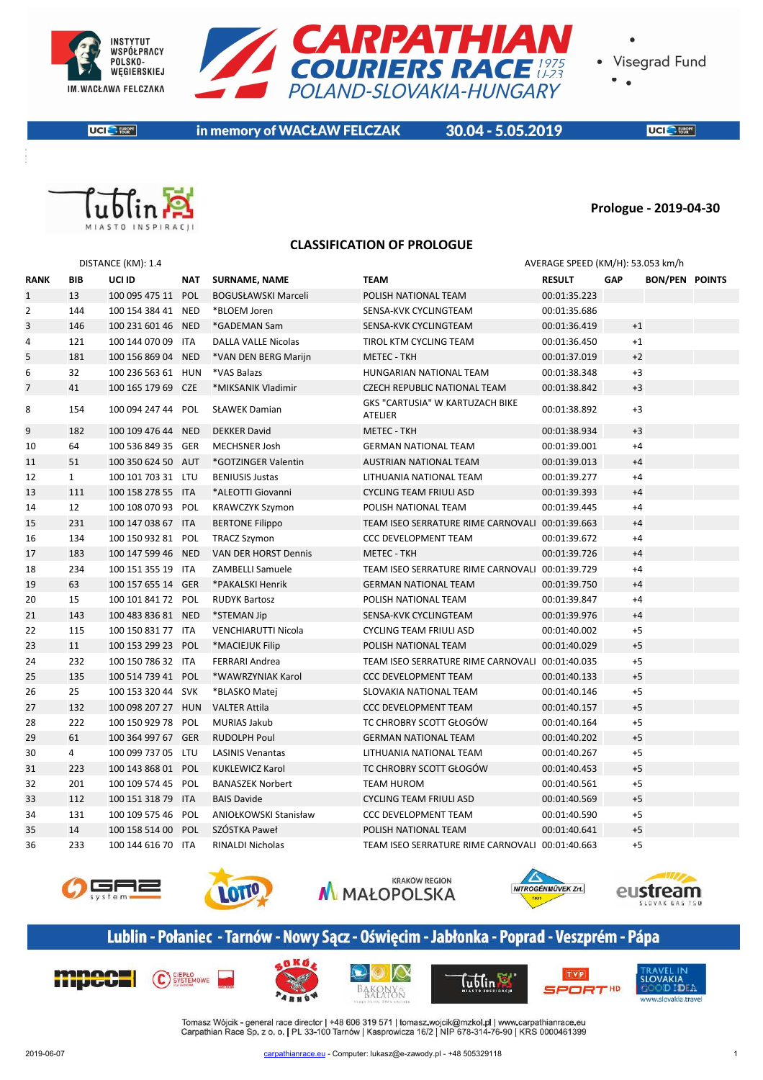



**UCI** E FURRATE

in memory of WACŁAW FELCZAK

30.04 - 5.05.2019

**UCI** SERVICE



#### **Prologue - 2019-04-30**

#### **CLASSIFICATION OF PROLOGUE**

|                |                | DISTANCE (KM): 1.4 |            |                            |                                                          | AVERAGE SPEED (KM/H): 53.053 km/h |            |                       |  |
|----------------|----------------|--------------------|------------|----------------------------|----------------------------------------------------------|-----------------------------------|------------|-----------------------|--|
| <b>RANK</b>    | <b>BIB</b>     | UCI ID             | NAT        | <b>SURNAME, NAME</b>       | <b>TEAM</b>                                              | <b>RESULT</b>                     | <b>GAP</b> | <b>BON/PEN POINTS</b> |  |
| $\mathbf{1}$   | 13             | 100 095 475 11 POL |            | <b>BOGUSŁAWSKI Marceli</b> | POLISH NATIONAL TEAM                                     | 00:01:35.223                      |            |                       |  |
| $\overline{2}$ | 144            | 100 154 384 41 NED |            | *BLOEM Joren               | SENSA-KVK CYCLINGTEAM                                    | 00:01:35.686                      |            |                       |  |
| 3              | 146            | 100 231 601 46 NED |            | *GADEMAN Sam               | SENSA-KVK CYCLINGTEAM                                    | 00:01:36.419                      |            | $+1$                  |  |
| 4              | 121            | 100 144 070 09 ITA |            | DALLA VALLE Nicolas        | TIROL KTM CYCLING TEAM                                   | 00:01:36.450                      |            | $+1$                  |  |
| 5              | 181            | 100 156 869 04 NED |            | *VAN DEN BERG Marijn       | <b>METEC - TKH</b>                                       | 00:01:37.019                      |            | $+2$                  |  |
| 6              | 32             | 100 236 563 61 HUN |            | *VAS Balazs                | <b>HUNGARIAN NATIONAL TEAM</b>                           | 00:01:38.348                      |            | $+3$                  |  |
| $\overline{7}$ | 41             | 100 165 179 69 CZE |            | *MIKSANIK Vladimir         | <b>CZECH REPUBLIC NATIONAL TEAM</b>                      | 00:01:38.842                      |            | $+3$                  |  |
| 8              | 154            | 100 094 247 44 POL |            | <b>SŁAWEK Damian</b>       | <b>GKS "CARTUSIA" W KARTUZACH BIKE</b><br><b>ATELIER</b> | 00:01:38.892                      |            | $+3$                  |  |
| 9              | 182            | 100 109 476 44     | <b>NED</b> | <b>DEKKER David</b>        | <b>METEC - TKH</b>                                       | 00:01:38.934                      |            | $+3$                  |  |
| 10             | 64             | 100 536 849 35 GER |            | <b>MECHSNER Josh</b>       | <b>GERMAN NATIONAL TEAM</b>                              | 00:01:39.001                      |            | $+4$                  |  |
| 11             | 51             | 100 350 624 50 AUT |            | *GOTZINGER Valentin        | AUSTRIAN NATIONAL TEAM                                   | 00:01:39.013                      |            | $+4$                  |  |
| 12             | $\mathbf{1}$   | 100 101 703 31 LTU |            | <b>BENIUSIS Justas</b>     | LITHUANIA NATIONAL TEAM                                  | 00:01:39.277                      |            | $+4$                  |  |
| 13             | 111            | 100 158 278 55 ITA |            | *ALEOTTI Giovanni          | <b>CYCLING TEAM FRIULI ASD</b>                           | 00:01:39.393                      |            | $+4$                  |  |
| 14             | 12             | 100 108 070 93 POL |            | <b>KRAWCZYK Szymon</b>     | POLISH NATIONAL TEAM                                     | 00:01:39.445                      |            | $+4$                  |  |
| 15             | 231            | 100 147 038 67 ITA |            | <b>BERTONE Filippo</b>     | TEAM ISEO SERRATURE RIME CARNOVALI 00:01:39.663          |                                   |            | $+4$                  |  |
| 16             | 134            | 100 150 932 81 POL |            | <b>TRACZ Szymon</b>        | <b>CCC DEVELOPMENT TEAM</b>                              | 00:01:39.672                      |            | $+4$                  |  |
| 17             | 183            | 100 147 599 46 NED |            | VAN DER HORST Dennis       | <b>METEC - TKH</b>                                       | 00:01:39.726                      |            | $+4$                  |  |
| 18             | 234            | 100 151 355 19 ITA |            | ZAMBELLI Samuele           | TEAM ISEO SERRATURE RIME CARNOVALI 00:01:39.729          |                                   |            | $+4$                  |  |
| 19             | 63             | 100 157 655 14 GER |            | *PAKALSKI Henrik           | <b>GERMAN NATIONAL TEAM</b>                              | 00:01:39.750                      |            | $+4$                  |  |
| 20             | 15             | 100 101 841 72 POL |            | <b>RUDYK Bartosz</b>       | POLISH NATIONAL TEAM                                     | 00:01:39.847                      |            | $+4$                  |  |
| 21             | 143            | 100 483 836 81 NED |            | *STEMAN Jip                | SENSA-KVK CYCLINGTEAM                                    | 00:01:39.976                      |            | $+4$                  |  |
| 22             | 115            | 100 150 831 77 ITA |            | VENCHIARUTTI Nicola        | <b>CYCLING TEAM FRIULI ASD</b>                           | 00:01:40.002                      |            | $+5$                  |  |
| 23             | 11             | 100 153 299 23 POL |            | *MACIEJUK Filip            | POLISH NATIONAL TEAM                                     | 00:01:40.029                      |            | $+5$                  |  |
| 24             | 232            | 100 150 786 32 ITA |            | FERRARI Andrea             | TEAM ISEO SERRATURE RIME CARNOVALI 00:01:40.035          |                                   |            | $+5$                  |  |
| 25             | 135            | 100 514 739 41 POL |            | *WAWRZYNIAK Karol          | <b>CCC DEVELOPMENT TEAM</b>                              | 00:01:40.133                      |            | $+5$                  |  |
| 26             | 25             | 100 153 320 44 SVK |            | *BLASKO Matej              | SLOVAKIA NATIONAL TEAM                                   | 00:01:40.146                      |            | $+5$                  |  |
| 27             | 132            | 100 098 207 27 HUN |            | <b>VALTER Attila</b>       | <b>CCC DEVELOPMENT TEAM</b>                              | 00:01:40.157                      |            | $+5$                  |  |
| 28             | 222            | 100 150 929 78 POL |            | <b>MURIAS Jakub</b>        | TC CHROBRY SCOTT GŁOGÓW                                  | 00:01:40.164                      |            | $+5$                  |  |
| 29             | 61             | 100 364 997 67 GER |            | <b>RUDOLPH Poul</b>        | <b>GERMAN NATIONAL TEAM</b>                              | 00:01:40.202                      |            | $+5$                  |  |
| 30             | $\overline{4}$ | 100 099 737 05 LTU |            | <b>LASINIS Venantas</b>    | LITHUANIA NATIONAL TEAM                                  | 00:01:40.267                      |            | $+5$                  |  |
| 31             | 223            | 100 143 868 01 POL |            | <b>KUKLEWICZ Karol</b>     | TC CHROBRY SCOTT GŁOGÓW                                  | 00:01:40.453                      |            | $+5$                  |  |
| 32             | 201            | 100 109 574 45 POL |            | <b>BANASZEK Norbert</b>    | <b>TEAM HUROM</b>                                        | 00:01:40.561                      |            | $+5$                  |  |
| 33             | 112            | 100 151 318 79 ITA |            | <b>BAIS Davide</b>         | <b>CYCLING TEAM FRIULI ASD</b>                           | 00:01:40.569                      |            | $+5$                  |  |
| 34             | 131            | 100 109 575 46 POL |            | ANIOŁKOWSKI Stanisław      | <b>CCC DEVELOPMENT TEAM</b>                              | 00:01:40.590                      |            | $+5$                  |  |
| 35             | 14             | 100 158 514 00 POL |            | SZÓSTKA Paweł              | POLISH NATIONAL TEAM                                     | 00:01:40.641                      |            | $+5$                  |  |
| 36             | 233            | 100 144 616 70 ITA |            | <b>RINALDI Nicholas</b>    | TEAM ISEO SERRATURE RIME CARNOVALI 00:01:40.663          |                                   |            | $+5$                  |  |











# Lublin - Połaniec - Tarnów - Nowy Sącz - Oświęcim - Jabłonka - Poprad - Veszprém - Pápa











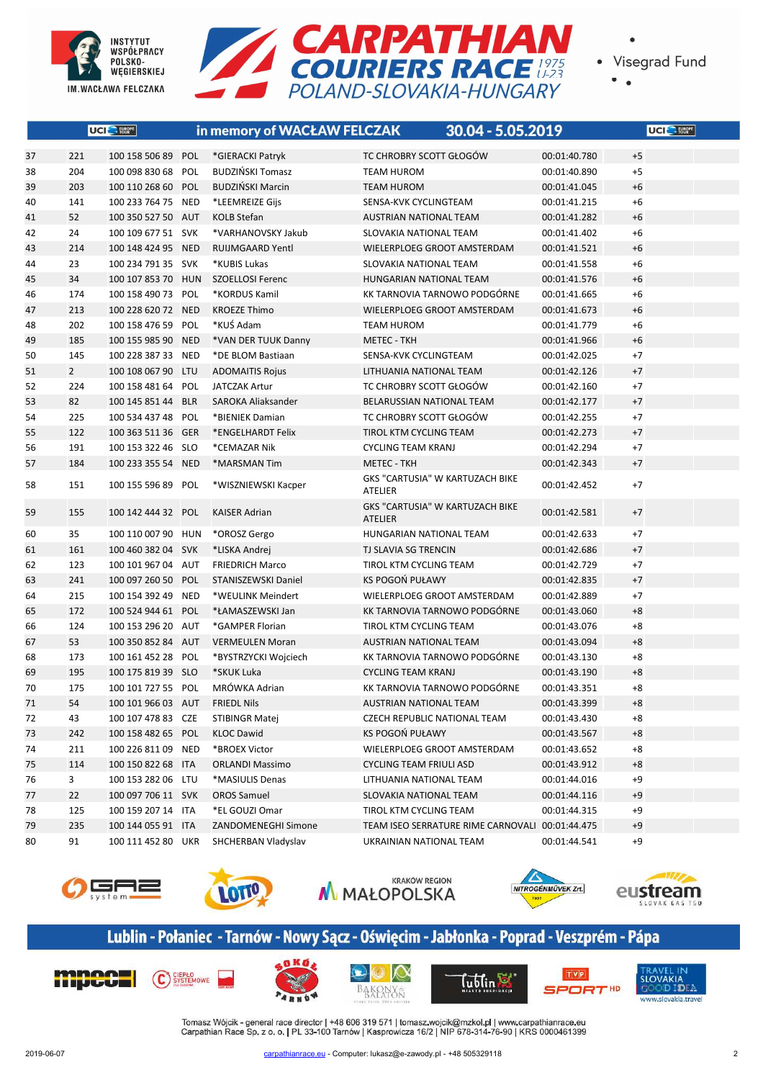

**UCI** EUROPE

37 221 100 158 506 89 POL \*GIERACKI Patryk



• Visegrad Fund

|     |                             | POLAND-SLOVAKIA-HUNGARY        |              |                         |
|-----|-----------------------------|--------------------------------|--------------|-------------------------|
|     |                             |                                |              |                         |
|     | in memory of WACŁAW FELCZAK | 30.04 - 5.05.2019              |              | UCI <sup>O</sup> FURGPE |
| L   | *GIERACKI Patryk            | TC CHROBRY SCOTT GŁOGÓW        | 00:01:40.780 | $+5$                    |
| L   | <b>BUDZIŃSKI Tomasz</b>     | <b>TEAM HUROM</b>              | 00:01:40.890 | $+5$                    |
| L   | <b>BUDZIŃSKI Marcin</b>     | <b>TEAM HUROM</b>              | 00:01:41.045 | $+6$                    |
| D   | *LEEMREIZE Gijs             | SENSA-KVK CYCLINGTEAM          | 00:01:41.215 | $+6$                    |
| T   | <b>KOLB Stefan</b>          | <b>AUSTRIAN NATIONAL TEAM</b>  | 00:01:41.282 | $+6$                    |
| < l | *VARHANOVSKY Jakub          | SLOVAKIA NATIONAL TEAM         | 00:01:41.402 | $+6$                    |
| D.  | <b>RUIJMGAARD Yentl</b>     | WIELERPLOEG GROOT AMSTERDAM    | 00:01:41.521 | $+6$                    |
| < . | *KUBIS Lukas                | SLOVAKIA NATIONAL TEAM         | 00:01:41.558 | $+6$                    |
| N   | SZOELLOSI Ferenc            | <b>HUNGARIAN NATIONAL TEAM</b> | 00:01:41.576 | $+6$                    |
| L   | *KORDUS Kamil               | KK TARNOVIA TARNOWO PODGÓRNE   | 00:01:41.665 | $+6$                    |
| D   | <b>KROEZE Thimo</b>         | WIELERPLOEG GROOT AMSTERDAM    | 00:01:41.673 | $+6$                    |
| L   | *KUŚ Adam                   | <b>TEAM HUROM</b>              | 00:01:41.779 | $+6$                    |
| D.  | *VAN DER TUUK Danny         | <b>METEC - TKH</b>             | 00:01:41.966 | $+6$                    |
| D.  | *DE BLOM Bastiaan           | SENSA-KVK CYCLINGTEAM          | 00:01:42.025 | $+7$                    |
|     | <b>ADOMAITIS Rojus</b>      | <b>IITHUANIA NATIONAI TFAM</b> | 00.01.42126  | $+7$                    |

| 38 | 204            | 100 098 830 68 POL | <b>BUDZIŃSKI Tomasz</b> | <b>TEAM HUROM</b>                                 | 00:01:40.890 | $+5$ |
|----|----------------|--------------------|-------------------------|---------------------------------------------------|--------------|------|
| 39 | 203            | 100 110 268 60 POL | <b>BUDZIŃSKI Marcin</b> | <b>TEAM HUROM</b>                                 | 00:01:41.045 | $+6$ |
| 40 | 141            | 100 233 764 75 NED | *LEEMREIZE Gijs         | SENSA-KVK CYCLINGTEAM                             | 00:01:41.215 | $+6$ |
| 41 | 52             | 100 350 527 50 AUT | <b>KOLB Stefan</b>      | <b>AUSTRIAN NATIONAL TEAM</b>                     | 00:01:41.282 | $+6$ |
| 42 | 24             | 100 109 677 51 SVK | *VARHANOVSKY Jakub      | SLOVAKIA NATIONAL TEAM                            | 00:01:41.402 | $+6$ |
| 43 | 214            | 100 148 424 95 NED | <b>RUIJMGAARD Yentl</b> | WIELERPLOEG GROOT AMSTERDAM                       | 00:01:41.521 | $+6$ |
| 44 | 23             | 100 234 791 35 SVK | *KUBIS Lukas            | SLOVAKIA NATIONAL TEAM                            | 00:01:41.558 | $+6$ |
| 45 | 34             | 100 107 853 70 HUN | SZOELLOSI Ferenc        | HUNGARIAN NATIONAL TEAM                           | 00:01:41.576 | $+6$ |
| 46 | 174            | 100 158 490 73 POL | *KORDUS Kamil           | KK TARNOVIA TARNOWO PODGÓRNE                      | 00:01:41.665 | $+6$ |
| 47 | 213            | 100 228 620 72 NED | <b>KROEZE Thimo</b>     | WIELERPLOEG GROOT AMSTERDAM                       | 00:01:41.673 | $+6$ |
| 48 | 202            | 100 158 476 59 POL | *KUŚ Adam               | <b>TEAM HUROM</b>                                 | 00:01:41.779 | $+6$ |
| 49 | 185            | 100 155 985 90 NED | *VAN DER TUUK Danny     | <b>METEC - TKH</b>                                | 00:01:41.966 | $+6$ |
| 50 | 145            | 100 228 387 33 NED | *DE BLOM Bastiaan       | SENSA-KVK CYCLINGTEAM                             | 00:01:42.025 | $+7$ |
| 51 | $\overline{2}$ | 100 108 067 90 LTU | <b>ADOMAITIS Rojus</b>  | LITHUANIA NATIONAL TEAM                           | 00:01:42.126 | $+7$ |
| 52 | 224            | 100 158 481 64 POL | <b>JATCZAK Artur</b>    | TC CHROBRY SCOTT GŁOGÓW                           | 00:01:42.160 | $+7$ |
| 53 | 82             | 100 145 851 44 BLR | SAROKA Aliaksander      | BELARUSSIAN NATIONAL TEAM                         | 00:01:42.177 | $+7$ |
| 54 | 225            | 100 534 437 48 POL | *BIENIEK Damian         | TC CHROBRY SCOTT GŁOGÓW                           | 00:01:42.255 | $+7$ |
| 55 | 122            | 100 363 511 36 GER | *ENGELHARDT Felix       | TIROL KTM CYCLING TEAM                            | 00:01:42.273 | $+7$ |
| 56 | 191            | 100 153 322 46 SLO | *CEMAZAR Nik            | <b>CYCLING TEAM KRANJ</b>                         | 00:01:42.294 | $+7$ |
| 57 | 184            | 100 233 355 54 NED | *MARSMAN Tim            | <b>METEC - TKH</b>                                | 00:01:42.343 | $+7$ |
| 58 | 151            | 100 155 596 89 POL | *WISZNIEWSKI Kacper     | GKS "CARTUSIA" W KARTUZACH BIKE<br><b>ATELIER</b> | 00:01:42.452 | $+7$ |
| 59 | 155            | 100 142 444 32 POL | <b>KAISER Adrian</b>    | GKS "CARTUSIA" W KARTUZACH BIKE<br><b>ATELIER</b> | 00:01:42.581 | $+7$ |
| 60 | 35             | 100 110 007 90 HUN | *OROSZ Gergo            | HUNGARIAN NATIONAL TEAM                           | 00:01:42.633 | $+7$ |
| 61 | 161            | 100 460 382 04 SVK | *LISKA Andrej           | TJ SLAVIA SG TRENCIN                              | 00:01:42.686 | $+7$ |
| 62 | 123            | 100 101 967 04 AUT | <b>FRIEDRICH Marco</b>  | TIROL KTM CYCLING TEAM                            | 00:01:42.729 | $+7$ |
| 63 | 241            | 100 097 260 50 POL | STANISZEWSKI Daniel     | KS POGOŃ PUŁAWY                                   | 00:01:42.835 | $+7$ |
| 64 | 215            | 100 154 392 49 NED | *WEULINK Meindert       | WIELERPLOEG GROOT AMSTERDAM                       | 00:01:42.889 | $+7$ |
| 65 | 172            | 100 524 944 61 POL | *ŁAMASZEWSKI Jan        | KK TARNOVIA TARNOWO PODGÓRNE                      | 00:01:43.060 | $+8$ |
| 66 | 124            | 100 153 296 20 AUT | *GAMPER Florian         | TIROL KTM CYCLING TEAM                            | 00:01:43.076 | $+8$ |
| 67 | 53             | 100 350 852 84 AUT | <b>VERMEULEN Moran</b>  | <b>AUSTRIAN NATIONAL TEAM</b>                     | 00:01:43.094 | $+8$ |
| 68 | 173            | 100 161 452 28 POL | *BYSTRZYCKI Wojciech    | KK TARNOVIA TARNOWO PODGÓRNE                      | 00:01:43.130 | $+8$ |
| 69 | 195            | 100 175 819 39 SLO | *SKUK Luka              | <b>CYCLING TEAM KRANJ</b>                         | 00:01:43.190 | $+8$ |
| 70 | 175            | 100 101 727 55 POL | MRÓWKA Adrian           | KK TARNOVIA TARNOWO PODGÓRNE                      | 00:01:43.351 | $+8$ |
| 71 | 54             | 100 101 966 03 AUT | <b>FRIEDL Nils</b>      | <b>AUSTRIAN NATIONAL TEAM</b>                     | 00:01:43.399 | $+8$ |
| 72 | 43             | 100 107 478 83 CZE | <b>STIBINGR Matej</b>   | <b>CZECH REPUBLIC NATIONAL TEAM</b>               | 00:01:43.430 | $+8$ |
| 73 | 242            | 100 158 482 65 POL | <b>KLOC Dawid</b>       | KS POGOŃ PUŁAWY                                   | 00:01:43.567 | $+8$ |
| 74 | 211            | 100 226 811 09 NED | *BROEX Victor           | WIELERPLOEG GROOT AMSTERDAM                       | 00:01:43.652 | $+8$ |
| 75 | 114            | 100 150 822 68 ITA | <b>ORLANDI Massimo</b>  | <b>CYCLING TEAM FRIULI ASD</b>                    | 00:01:43.912 | $+8$ |
| 76 | 3              | 100 153 282 06 LTU | *MASIULIS Denas         | LITHUANIA NATIONAL TEAM                           | 00:01:44.016 | $+9$ |
| 77 | 22             | 100 097 706 11 SVK | <b>OROS Samuel</b>      | SLOVAKIA NATIONAL TEAM                            | 00:01:44.116 | $+9$ |
| 78 | 125            | 100 159 207 14 ITA | *EL GOUZI Omar          | TIROL KTM CYCLING TEAM                            | 00:01:44.315 | $+9$ |
| 79 | 235            | 100 144 055 91 ITA | ZANDOMENEGHI Simone     | TEAM ISEO SERRATURE RIME CARNOVALI 00:01:44.475   |              | $+9$ |
| 80 | 91             | 100 111 452 80 UKR | SHCHERBAN Vladyslav     | UKRAINIAN NATIONAL TEAM                           | 00:01:44.541 | $+9$ |
|    |                |                    |                         |                                                   |              |      |











# Lublin - Połaniec - Tarnów - Nowy Sącz - Oświęcim - Jabłonka - Poprad - Veszprém - Pápa











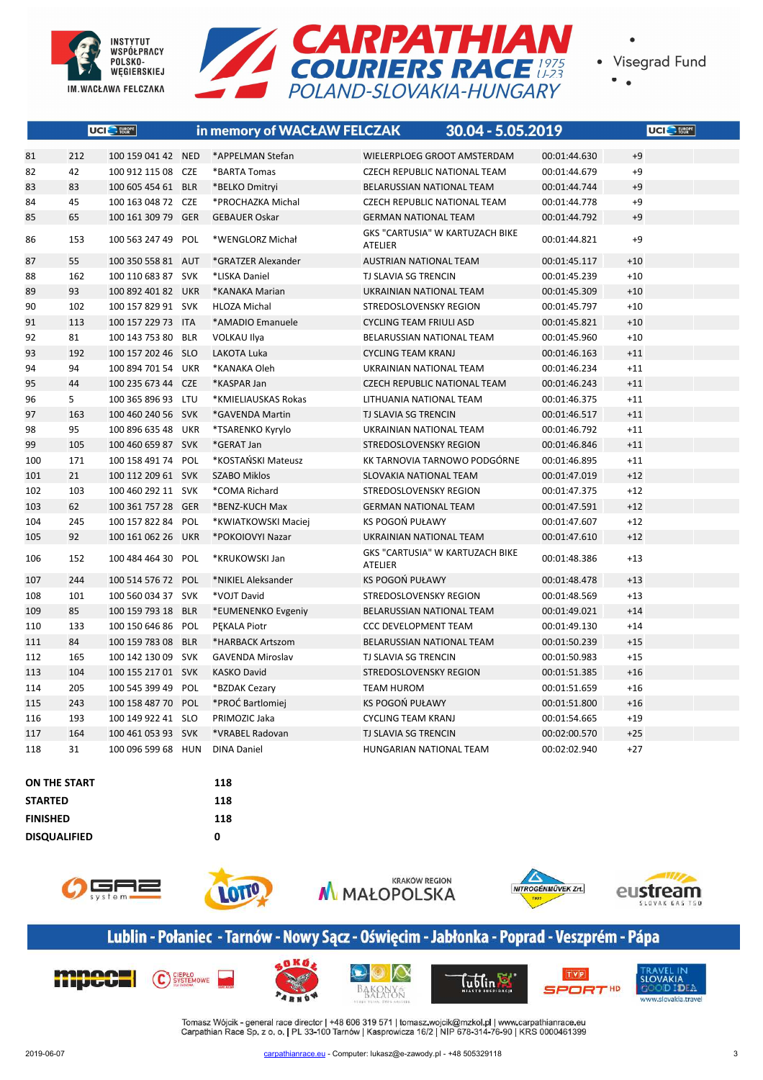



 $\bullet$ 

|     |     | UCI <sup>C</sup> FURGPE |            | in memory of WACŁAW FELCZAK |                                                   | 30.04 - 5.05.2019 | UCI <sup>O</sup> FURPE |
|-----|-----|-------------------------|------------|-----------------------------|---------------------------------------------------|-------------------|------------------------|
| 81  | 212 | 100 159 041 42 NED      |            | *APPELMAN Stefan            | WIELERPLOEG GROOT AMSTERDAM                       | 00:01:44.630      | $+9$                   |
| 82  | 42  | 100 912 115 08 CZE      |            | *BARTA Tomas                | <b>CZECH REPUBLIC NATIONAL TEAM</b>               | 00:01:44.679      | $+9$                   |
| 83  | 83  | 100 605 454 61          | <b>BLR</b> | *BELKO Dmitryi              | BELARUSSIAN NATIONAL TEAM                         | 00:01:44.744      | $+9$                   |
| 84  | 45  | 100 163 048 72 CZE      |            | *PROCHAZKA Michal           | <b>CZECH REPUBLIC NATIONAL TEAM</b>               | 00:01:44.778      | $+9$                   |
| 85  | 65  | 100 161 309 79          | <b>GER</b> | <b>GEBAUER Oskar</b>        | <b>GERMAN NATIONAL TEAM</b>                       | 00:01:44.792      | $+9$                   |
| 86  | 153 | 100 563 247 49          | POL        | *WENGLORZ Michał            | GKS "CARTUSIA" W KARTUZACH BIKE<br><b>ATELIER</b> | 00:01:44.821      | $+9$                   |
| 87  | 55  | 100 350 558 81 AUT      |            | *GRATZER Alexander          | <b>AUSTRIAN NATIONAL TEAM</b>                     | 00:01:45.117      | $+10$                  |
| 88  | 162 | 100 110 683 87 SVK      |            | *LISKA Daniel               | TJ SLAVIA SG TRENCIN                              | 00:01:45.239      | $+10$                  |
| 89  | 93  | 100 892 401 82 UKR      |            | *KANAKA Marian              | UKRAINIAN NATIONAL TEAM                           | 00:01:45.309      | $+10$                  |
| 90  | 102 | 100 157 829 91 SVK      |            | <b>HLOZA Michal</b>         | STREDOSLOVENSKY REGION                            | 00:01:45.797      | $+10$                  |
| 91  | 113 | 100 157 229 73 ITA      |            | *AMADIO Emanuele            | <b>CYCLING TEAM FRIULI ASD</b>                    | 00:01:45.821      | $+10$                  |
| 92  | 81  | 100 143 753 80 BLR      |            | <b>VOLKAU Ilya</b>          | BELARUSSIAN NATIONAL TEAM                         | 00:01:45.960      | $+10$                  |
| 93  | 192 | 100 157 202 46 SLO      |            | <b>LAKOTA Luka</b>          | <b>CYCLING TEAM KRANJ</b>                         | 00:01:46.163      | $+11$                  |
| 94  | 94  | 100 894 701 54 UKR      |            | *KANAKA Oleh                | UKRAINIAN NATIONAL TEAM                           | 00:01:46.234      | $+11$                  |
| 95  | 44  | 100 235 673 44          | <b>CZE</b> | *KASPAR Jan                 | <b>CZECH REPUBLIC NATIONAL TEAM</b>               | 00:01:46.243      | $+11$                  |
| 96  | 5   | 100 365 896 93 LTU      |            | *KMIELIAUSKAS Rokas         | LITHUANIA NATIONAL TEAM                           | 00:01:46.375      | $+11$                  |
| 97  | 163 | 100 460 240 56 SVK      |            | *GAVENDA Martin             | <b>TJ SLAVIA SG TRENCIN</b>                       | 00:01:46.517      | $+11$                  |
| 98  | 95  | 100 896 635 48 UKR      |            | *TSARENKO Kyrylo            | UKRAINIAN NATIONAL TEAM                           | 00:01:46.792      | $+11$                  |
| 99  | 105 | 100 460 659 87 SVK      |            | *GERAT Jan                  | STREDOSLOVENSKY REGION                            | 00:01:46.846      | $+11$                  |
| 100 | 171 | 100 158 491 74 POL      |            | *KOSTAŃSKI Mateusz          | KK TARNOVIA TARNOWO PODGÓRNE                      | 00:01:46.895      | $+11$                  |
| 101 | 21  | 100 112 209 61 SVK      |            | <b>SZABO Miklos</b>         | SLOVAKIA NATIONAL TEAM                            | 00:01:47.019      | $+12$                  |
| 102 | 103 | 100 460 292 11 SVK      |            | *COMA Richard               | STREDOSLOVENSKY REGION                            | 00:01:47.375      | $+12$                  |
| 103 | 62  | 100 361 757 28 GER      |            | *BENZ-KUCH Max              | <b>GERMAN NATIONAL TEAM</b>                       | 00:01:47.591      | $+12$                  |
| 104 | 245 | 100 157 822 84          | POL        | *KWIATKOWSKI Maciej         | KS POGOŃ PUŁAWY                                   | 00:01:47.607      | $+12$                  |
| 105 | 92  | 100 161 062 26 UKR      |            | *POKOIOVYI Nazar            | UKRAINIAN NATIONAL TEAM                           | 00:01:47.610      | $+12$                  |
| 106 | 152 | 100 484 464 30 POL      |            | *KRUKOWSKI Jan              | GKS "CARTUSIA" W KARTUZACH BIKE<br><b>ATELIER</b> | 00:01:48.386      | $+13$                  |
| 107 | 244 | 100 514 576 72 POL      |            | *NIKIEL Aleksander          | KS POGOŃ PUŁAWY                                   | 00:01:48.478      | $+13$                  |
| 108 | 101 | 100 560 034 37 SVK      |            | *VOJT David                 | STREDOSLOVENSKY REGION                            | 00:01:48.569      | $+13$                  |
| 109 | 85  | 100 159 793 18 BLR      |            | *EUMENENKO Evgeniy          | BELARUSSIAN NATIONAL TEAM                         | 00:01:49.021      | $+14$                  |
| 110 | 133 | 100 150 646 86          | POL        | PEKALA Piotr                | <b>CCC DEVELOPMENT TEAM</b>                       | 00:01:49.130      | $+14$                  |
| 111 | 84  | 100 159 783 08 BLR      |            | *HARBACK Artszom            | BELARUSSIAN NATIONAL TEAM                         | 00:01:50.239      | $+15$                  |
| 112 | 165 | 100 142 130 09 SVK      |            | <b>GAVENDA Miroslav</b>     | <b>TJ SLAVIA SG TRENCIN</b>                       | 00:01:50.983      | $+15$                  |
| 113 | 104 | 100 155 217 01 SVK      |            | <b>KASKO David</b>          | STREDOSLOVENSKY REGION                            | 00:01:51.385      | $+16$                  |
| 114 | 205 | 100 545 399 49 POL      |            | *BZDAK Cezary               | <b>TEAM HUROM</b>                                 | 00:01:51.659      | $+16$                  |
| 115 | 243 | 100 158 487 70 POL      |            | *PROĆ Bartlomiej            | <b>KS POGOŃ PUŁAWY</b>                            | 00:01:51.800      | $+16$                  |
| 116 | 193 | 100 149 922 41 SLO      |            | PRIMOZIC Jaka               | <b>CYCLING TEAM KRANJ</b>                         | 00:01:54.665      | $+19$                  |
| 117 | 164 | 100 461 053 93 SVK      |            | *VRABEL Radovan             | <b>TJ SLAVIA SG TRENCIN</b>                       | 00:02:00.570      | $+25$                  |
| 118 | 31  | 100 096 599 68 HUN      |            | <b>DINA Daniel</b>          | HUNGARIAN NATIONAL TEAM                           | 00:02:02.940      | $+27$                  |

#### **ON THE START 118 STARTED 118 FINISHED 118 DISQUALIFIED 0**











# Lublin - Połaniec - Tarnów - Nowy Sącz - Oświęcim - Jabłonka - Poprad - Veszprém - Pápa











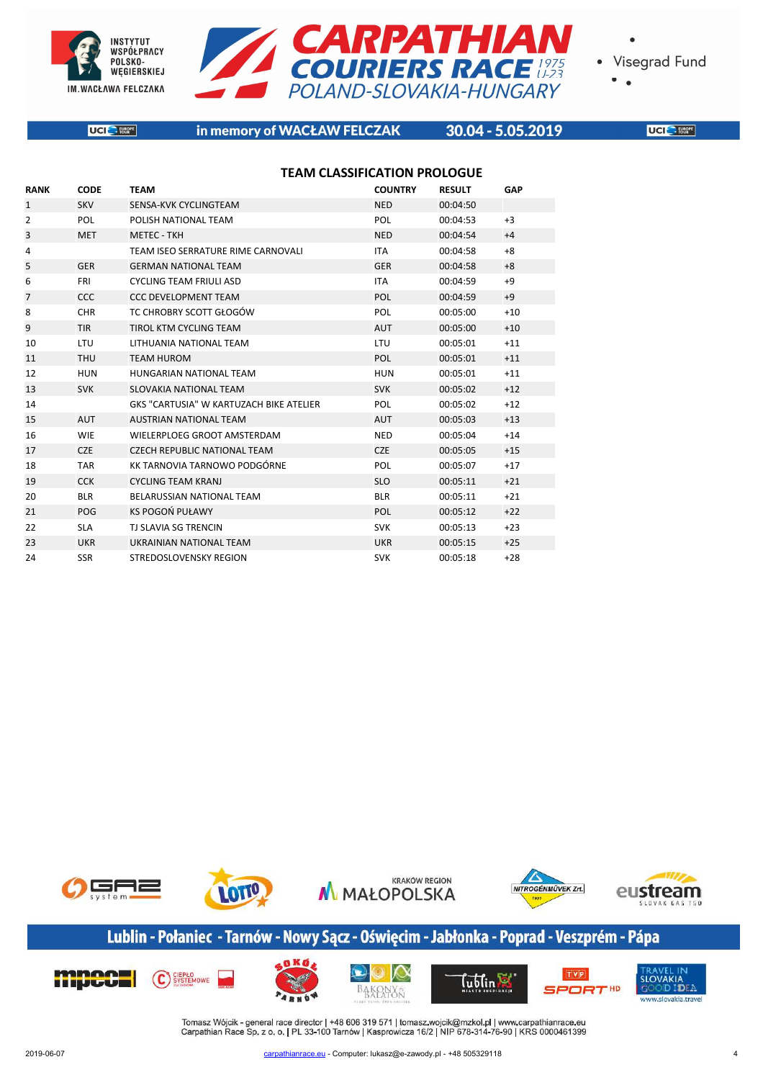



 $\bullet$ 

**UCI** EUROPE

#### in memory of WACŁAW FELCZAK

#### 30.04 - 5.05.2019

**UCI** SERVICE

|                |             | <b>TEAM CLASSIFICATION PROLOGUE</b>     |                |               |       |  |
|----------------|-------------|-----------------------------------------|----------------|---------------|-------|--|
| <b>RANK</b>    | <b>CODE</b> | <b>TEAM</b>                             | <b>COUNTRY</b> | <b>RESULT</b> | GAP   |  |
| 1              | <b>SKV</b>  | SENSA-KVK CYCLINGTEAM                   | <b>NED</b>     | 00:04:50      |       |  |
| 2              | <b>POL</b>  | POLISH NATIONAL TEAM                    | <b>POL</b>     | 00:04:53      | $+3$  |  |
| 3              | <b>MET</b>  | <b>METEC - TKH</b>                      | <b>NED</b>     | 00:04:54      | $+4$  |  |
| 4              |             | TEAM ISEO SERRATURE RIME CARNOVALI      | <b>ITA</b>     | 00:04:58      | $+8$  |  |
| 5              | <b>GER</b>  | <b>GERMAN NATIONAL TEAM</b>             | <b>GER</b>     | 00:04:58      | $+8$  |  |
| 6              | <b>FRI</b>  | <b>CYCLING TEAM FRIULI ASD</b>          | <b>ITA</b>     | 00:04:59      | $+9$  |  |
| $\overline{7}$ | <b>CCC</b>  | <b>CCC DEVELOPMENT TEAM</b>             | <b>POL</b>     | 00:04:59      | $+9$  |  |
| 8              | <b>CHR</b>  | TC CHROBRY SCOTT GŁOGÓW                 | <b>POL</b>     | 00:05:00      | $+10$ |  |
| 9              | <b>TIR</b>  | TIROL KTM CYCLING TEAM                  | <b>AUT</b>     | 00:05:00      | $+10$ |  |
| 10             | <b>LTU</b>  | LITHUANIA NATIONAL TEAM                 | <b>LTU</b>     | 00:05:01      | $+11$ |  |
| 11             | <b>THU</b>  | <b>TEAM HUROM</b>                       | POL            | 00:05:01      | $+11$ |  |
| 12             | <b>HUN</b>  | HUNGARIAN NATIONAL TEAM                 | <b>HUN</b>     | 00:05:01      | $+11$ |  |
| 13             | <b>SVK</b>  | <b>SLOVAKIA NATIONAL TEAM</b>           | <b>SVK</b>     | 00:05:02      | $+12$ |  |
| 14             |             | GKS "CARTUSIA" W KARTUZACH BIKE ATELIER | <b>POL</b>     | 00:05:02      | $+12$ |  |
| 15             | <b>AUT</b>  | <b>AUSTRIAN NATIONAL TEAM</b>           | <b>AUT</b>     | 00:05:03      | $+13$ |  |
| 16             | <b>WIE</b>  | WIELERPLOEG GROOT AMSTERDAM             | <b>NED</b>     | 00:05:04      | $+14$ |  |
| 17             | <b>CZE</b>  | <b>CZECH REPUBLIC NATIONAL TEAM</b>     | <b>CZE</b>     | 00:05:05      | $+15$ |  |
| 18             | <b>TAR</b>  | KK TARNOVIA TARNOWO PODGÓRNE            | POL            | 00:05:07      | $+17$ |  |
| 19             | <b>CCK</b>  | <b>CYCLING TEAM KRANJ</b>               | <b>SLO</b>     | 00:05:11      | $+21$ |  |
| 20             | <b>BLR</b>  | BELARUSSIAN NATIONAL TEAM               | <b>BLR</b>     | 00:05:11      | $+21$ |  |
| 21             | POG         | KS POGOŃ PUŁAWY                         | <b>POL</b>     | 00:05:12      | $+22$ |  |
| 22             | <b>SLA</b>  | <b>TJ SLAVIA SG TRENCIN</b>             | <b>SVK</b>     | 00:05:13      | $+23$ |  |
| 23             | <b>UKR</b>  | UKRAINIAN NATIONAL TEAM                 | <b>UKR</b>     | 00:05:15      | $+25$ |  |
| 24             | <b>SSR</b>  | <b>STREDOSLOVENSKY REGION</b>           | <b>SVK</b>     | 00:05:18      | $+28$ |  |



# Lublin - Połaniec - Tarnów - Nowy Sącz - Oświęcim - Jabłonka - Poprad - Veszprém - Pápa

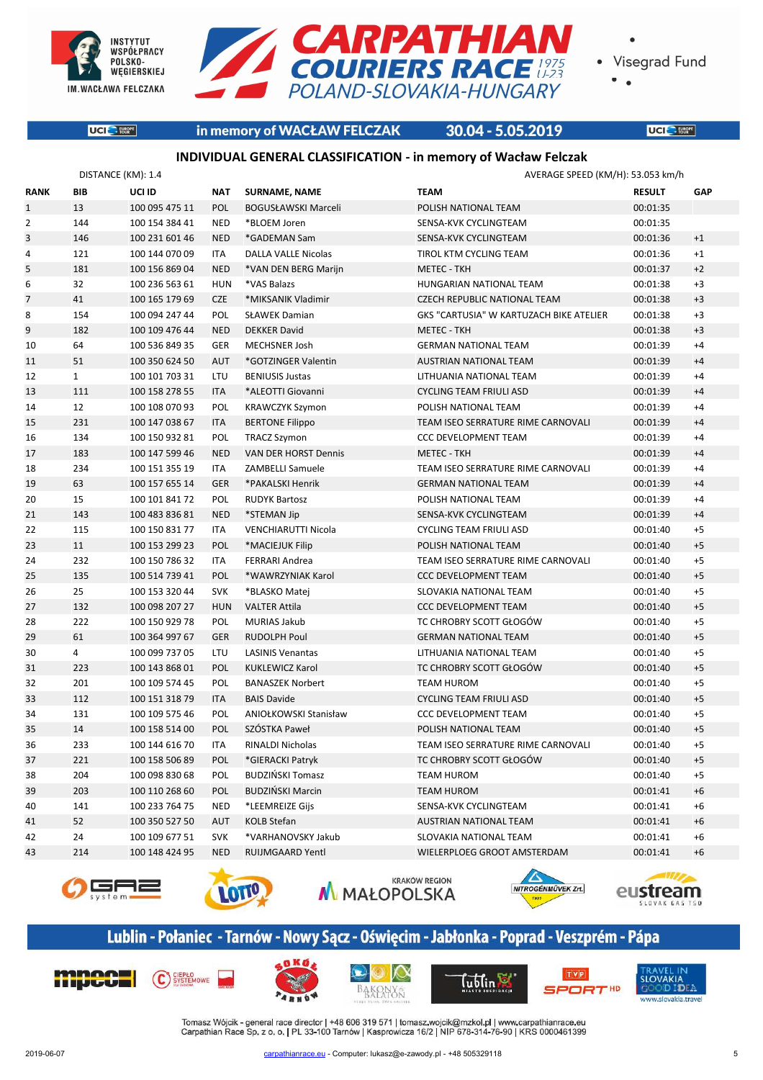

**UCI** EUROPE



Visegrad Fund

 $\bullet$ 

#### in memory of WACŁAW FELCZAK

#### 30.04 - 5.05.2019

**UCI** SERVICE

#### **INDIVIDUAL GENERAL CLASSIFICATION - in memory of Wacław Felczak**

|                | DISTANCE (KM): 1.4 |                |            |                            |                                         | AVERAGE SPEED (KM/H): 53.053 km/h |      |  |
|----------------|--------------------|----------------|------------|----------------------------|-----------------------------------------|-----------------------------------|------|--|
| <b>RANK</b>    | <b>BIB</b>         | UCI ID         | <b>NAT</b> | <b>SURNAME, NAME</b>       | <b>TEAM</b>                             | <b>RESULT</b>                     | GAP  |  |
| $\mathbf{1}$   | 13                 | 100 095 475 11 | POL        | <b>BOGUSŁAWSKI Marceli</b> | POLISH NATIONAL TEAM                    | 00:01:35                          |      |  |
| $\overline{2}$ | 144                | 100 154 384 41 | <b>NED</b> | *BLOEM Joren               | SENSA-KVK CYCLINGTEAM                   | 00:01:35                          |      |  |
| 3              | 146                | 100 231 601 46 | <b>NED</b> | *GADEMAN Sam               | SENSA-KVK CYCLINGTEAM                   | 00:01:36                          | $+1$ |  |
| 4              | 121                | 100 144 070 09 | ITA        | <b>DALLA VALLE Nicolas</b> | TIROL KTM CYCLING TEAM                  | 00:01:36                          | $+1$ |  |
| 5              | 181                | 100 156 869 04 | <b>NED</b> | *VAN DEN BERG Marijn       | <b>METEC - TKH</b>                      | 00:01:37                          | $+2$ |  |
| 6              | 32                 | 100 236 563 61 | <b>HUN</b> | *VAS Balazs                | HUNGARIAN NATIONAL TEAM                 | 00:01:38                          | $+3$ |  |
| $\overline{7}$ | 41                 | 100 165 179 69 | <b>CZE</b> | *MIKSANIK Vladimir         | <b>CZECH REPUBLIC NATIONAL TEAM</b>     | 00:01:38                          | $+3$ |  |
| 8              | 154                | 100 094 247 44 | POL        | <b>SŁAWEK Damian</b>       | GKS "CARTUSIA" W KARTUZACH BIKE ATELIER | 00:01:38                          | $+3$ |  |
| 9              | 182                | 100 109 476 44 | <b>NED</b> | <b>DEKKER David</b>        | <b>METEC - TKH</b>                      | 00:01:38                          | $+3$ |  |
| 10             | 64                 | 100 536 849 35 | <b>GER</b> | MECHSNER Josh              | <b>GERMAN NATIONAL TEAM</b>             | 00:01:39                          | $+4$ |  |
| 11             | 51                 | 100 350 624 50 | <b>AUT</b> | *GOTZINGER Valentin        | <b>AUSTRIAN NATIONAL TEAM</b>           | 00:01:39                          | $+4$ |  |
| 12             | $\mathbf{1}$       | 100 101 703 31 | LTU        | <b>BENIUSIS Justas</b>     | LITHUANIA NATIONAL TEAM                 | 00:01:39                          | $+4$ |  |
| 13             | 111                | 100 158 278 55 | <b>ITA</b> | *ALEOTTI Giovanni          | <b>CYCLING TEAM FRIULI ASD</b>          | 00:01:39                          | $+4$ |  |
| 14             | 12                 | 100 108 070 93 | POL        | <b>KRAWCZYK Szymon</b>     | POLISH NATIONAL TEAM                    | 00:01:39                          | $+4$ |  |
| 15             | 231                | 100 147 038 67 | <b>ITA</b> | <b>BERTONE Filippo</b>     | TEAM ISEO SERRATURE RIME CARNOVALI      | 00:01:39                          | $+4$ |  |
| 16             | 134                | 100 150 932 81 | POL        | <b>TRACZ Szymon</b>        | <b>CCC DEVELOPMENT TEAM</b>             | 00:01:39                          | $+4$ |  |
| 17             | 183                | 100 147 599 46 | <b>NED</b> | VAN DER HORST Dennis       | <b>METEC - TKH</b>                      | 00:01:39                          | $+4$ |  |
| 18             | 234                | 100 151 355 19 | ITA        | ZAMBELLI Samuele           | TEAM ISEO SERRATURE RIME CARNOVALI      | 00:01:39                          | $+4$ |  |
| 19             | 63                 | 100 157 655 14 | <b>GER</b> | *PAKALSKI Henrik           | <b>GERMAN NATIONAL TEAM</b>             | 00:01:39                          | $+4$ |  |
| 20             | 15                 | 100 101 841 72 | POL        | <b>RUDYK Bartosz</b>       | POLISH NATIONAL TEAM                    | 00:01:39                          | $+4$ |  |
| 21             | 143                | 100 483 836 81 | <b>NED</b> | *STEMAN Jip                | SENSA-KVK CYCLINGTEAM                   | 00:01:39                          | $+4$ |  |
| 22             | 115                | 100 150 831 77 | <b>ITA</b> | VENCHIARUTTI Nicola        | <b>CYCLING TEAM FRIULI ASD</b>          | 00:01:40                          | $+5$ |  |
| 23             | 11                 | 100 153 299 23 | POL        | *MACIEJUK Filip            | POLISH NATIONAL TEAM                    | 00:01:40                          | $+5$ |  |
| 24             | 232                | 100 150 786 32 | ITA        | FERRARI Andrea             | TEAM ISEO SERRATURE RIME CARNOVALI      | 00:01:40                          | $+5$ |  |
| 25             | 135                | 100 514 739 41 | POL        | *WAWRZYNIAK Karol          | <b>CCC DEVELOPMENT TEAM</b>             | 00:01:40                          | $+5$ |  |
| 26             | 25                 | 100 153 320 44 | <b>SVK</b> | *BLASKO Matej              | SLOVAKIA NATIONAL TEAM                  | 00:01:40                          | $+5$ |  |
| 27             | 132                | 100 098 207 27 | <b>HUN</b> | <b>VALTER Attila</b>       | <b>CCC DEVELOPMENT TEAM</b>             | 00:01:40                          | $+5$ |  |
| 28             | 222                | 100 150 929 78 | POL        | <b>MURIAS Jakub</b>        | TC CHROBRY SCOTT GŁOGÓW                 | 00:01:40                          | $+5$ |  |
| 29             | 61                 | 100 364 997 67 | <b>GER</b> | <b>RUDOLPH Poul</b>        | <b>GERMAN NATIONAL TEAM</b>             | 00:01:40                          | $+5$ |  |
| 30             | 4                  | 100 099 737 05 | LTU        | <b>LASINIS Venantas</b>    | LITHUANIA NATIONAL TEAM                 | 00:01:40                          | $+5$ |  |
| 31             | 223                | 100 143 868 01 | POL        | <b>KUKLEWICZ Karol</b>     | TC CHROBRY SCOTT GŁOGÓW                 | 00:01:40                          | $+5$ |  |
| 32             | 201                | 100 109 574 45 | POL        | <b>BANASZEK Norbert</b>    | <b>TEAM HUROM</b>                       | 00:01:40                          | $+5$ |  |
| 33             | 112                | 100 151 318 79 | <b>ITA</b> | <b>BAIS Davide</b>         | <b>CYCLING TEAM FRIULI ASD</b>          | 00:01:40                          | $+5$ |  |
| 34             | 131                | 100 109 575 46 | POL        | ANIOŁKOWSKI Stanisław      | <b>CCC DEVELOPMENT TEAM</b>             | 00:01:40                          | $+5$ |  |
| 35             | 14                 | 100 158 514 00 | POL        | SZÓSTKA Paweł              | POLISH NATIONAL TEAM                    | 00:01:40                          | $+5$ |  |
| 36             | 233                | 100 144 616 70 | ITA        | RINALDI Nicholas           | TEAM ISEO SERRATURE RIME CARNOVALI      | 00:01:40                          | $+5$ |  |
| 37             | 221                | 100 158 506 89 | <b>POL</b> | *GIERACKI Patryk           | TC CHROBRY SCOTT GŁOGÓW                 | 00:01:40                          | $+5$ |  |
| 38             | 204                | 100 098 830 68 | POL        | BUDZIŃSKI Tomasz           | TEAM HUROM                              | 00:01:40                          | $+5$ |  |
| 39             | 203                | 100 110 268 60 | POL        | BUDZIŃSKI Marcin           | TEAM HUROM                              | 00:01:41                          | $+6$ |  |
| 40             | 141                | 100 233 764 75 | <b>NED</b> | *LEEMREIZE Gijs            | SENSA-KVK CYCLINGTEAM                   | 00:01:41                          | $+6$ |  |
| 41             | 52                 | 100 350 527 50 | <b>AUT</b> | KOLB Stefan                | AUSTRIAN NATIONAL TEAM                  | 00:01:41                          | $+6$ |  |
| 42             | 24                 | 100 109 677 51 | <b>SVK</b> | *VARHANOVSKY Jakub         | SLOVAKIA NATIONAL TEAM                  | 00:01:41                          | $+6$ |  |
| 43             | 214                | 100 148 424 95 | <b>NED</b> | RUIJMGAARD Yentl           | WIELERPLOEG GROOT AMSTERDAM             | 00:01:41                          | $+6$ |  |
|                |                    |                |            |                            |                                         |                                   |      |  |











# Lublin - Połaniec - Tarnów - Nowy Sącz - Oświęcim - Jabłonka - Poprad - Veszprém - Pápa









Tublin E



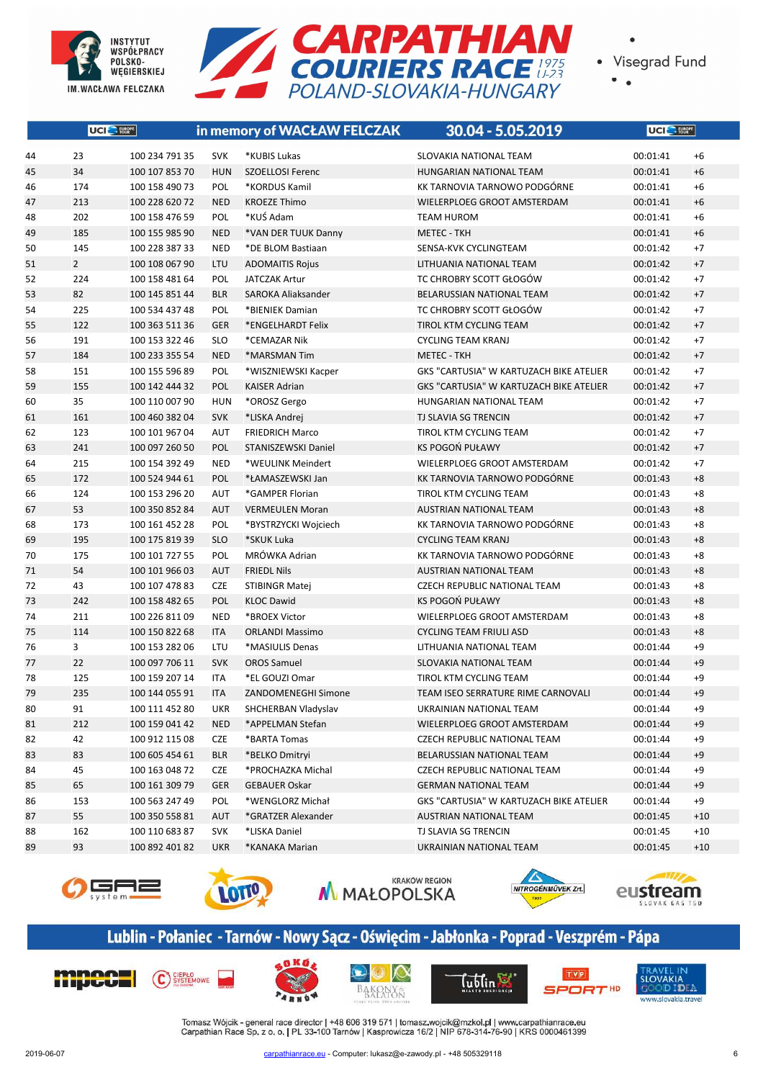



 $\bullet$ 

|    | UCI <sup>C</sup> FURPE |                |            | in memory of WACŁAW FELCZAK | 30.04 - 5.05.2019                              | <b>UCI</b> E FURGPE |       |
|----|------------------------|----------------|------------|-----------------------------|------------------------------------------------|---------------------|-------|
| 44 | 23                     | 100 234 791 35 | <b>SVK</b> | *KUBIS Lukas                | SLOVAKIA NATIONAL TEAM                         | 00:01:41            | $+6$  |
| 45 | 34                     | 100 107 853 70 | <b>HUN</b> | <b>SZOELLOSI Ferenc</b>     | HUNGARIAN NATIONAL TEAM                        | 00:01:41            | $+6$  |
| 46 | 174                    | 100 158 490 73 | POL        | *KORDUS Kamil               | KK TARNOVIA TARNOWO PODGÓRNE                   | 00:01:41            | $+6$  |
| 47 | 213                    | 100 228 620 72 | <b>NED</b> | <b>KROEZE Thimo</b>         | WIELERPLOEG GROOT AMSTERDAM                    | 00:01:41            | $+6$  |
| 48 | 202                    | 100 158 476 59 | POL        | *KUŚ Adam                   | <b>TEAM HUROM</b>                              | 00:01:41            | $+6$  |
| 49 | 185                    | 100 155 985 90 | <b>NED</b> | *VAN DER TUUK Danny         | <b>METEC - TKH</b>                             | 00:01:41            | $+6$  |
| 50 | 145                    | 100 228 387 33 | <b>NED</b> | *DE BLOM Bastiaan           | SENSA-KVK CYCLINGTEAM                          | 00:01:42            | $+7$  |
| 51 | $\overline{2}$         | 100 108 067 90 | LTU        | <b>ADOMAITIS Rojus</b>      | LITHUANIA NATIONAL TEAM                        | 00:01:42            | $+7$  |
| 52 | 224                    | 100 158 481 64 | POL        | <b>JATCZAK Artur</b>        | TC CHROBRY SCOTT GŁOGÓW                        | 00:01:42            | $+7$  |
| 53 | 82                     | 100 145 851 44 | <b>BLR</b> | SAROKA Aliaksander          | BELARUSSIAN NATIONAL TEAM                      | 00:01:42            | $+7$  |
| 54 | 225                    | 100 534 437 48 | POL        | *BIENIEK Damian             | TC CHROBRY SCOTT GŁOGÓW                        | 00:01:42            | $+7$  |
| 55 | 122                    | 100 363 511 36 | <b>GER</b> | *ENGELHARDT Felix           | TIROL KTM CYCLING TEAM                         | 00:01:42            | $+7$  |
| 56 | 191                    | 100 153 322 46 | <b>SLO</b> | *CEMAZAR Nik                | <b>CYCLING TEAM KRANJ</b>                      | 00:01:42            | $+7$  |
| 57 | 184                    | 100 233 355 54 | <b>NED</b> | *MARSMAN Tim                | <b>METEC - TKH</b>                             | 00:01:42            | $+7$  |
| 58 | 151                    | 100 155 596 89 | POL        | *WISZNIEWSKI Kacper         | <b>GKS "CARTUSIA" W KARTUZACH BIKE ATELIER</b> | 00:01:42            | $+7$  |
| 59 | 155                    | 100 142 444 32 | POL        | <b>KAISER Adrian</b>        | GKS "CARTUSIA" W KARTUZACH BIKE ATELIER        | 00:01:42            | $+7$  |
| 60 | 35                     | 100 110 007 90 | <b>HUN</b> | *OROSZ Gergo                | <b>HUNGARIAN NATIONAL TEAM</b>                 | 00:01:42            | $+7$  |
| 61 | 161                    | 100 460 382 04 | <b>SVK</b> | *LISKA Andrej               | TJ SLAVIA SG TRENCIN                           | 00:01:42            | $+7$  |
| 62 | 123                    | 100 101 967 04 | <b>AUT</b> | <b>FRIEDRICH Marco</b>      | <b>TIROL KTM CYCLING TEAM</b>                  | 00:01:42            | $+7$  |
| 63 | 241                    | 100 097 260 50 | POL        | STANISZEWSKI Daniel         | KS POGOŃ PUŁAWY                                | 00:01:42            | $+7$  |
| 64 | 215                    | 100 154 392 49 | <b>NED</b> | *WEULINK Meindert           | WIELERPLOEG GROOT AMSTERDAM                    | 00:01:42            | $+7$  |
| 65 | 172                    | 100 524 944 61 | POL        | *ŁAMASZEWSKI Jan            | KK TARNOVIA TARNOWO PODGÓRNE                   | 00:01:43            | $+8$  |
| 66 | 124                    | 100 153 296 20 | <b>AUT</b> | *GAMPER Florian             | TIROL KTM CYCLING TEAM                         | 00:01:43            | $+8$  |
| 67 | 53                     | 100 350 852 84 | <b>AUT</b> | <b>VERMEULEN Moran</b>      | AUSTRIAN NATIONAL TEAM                         | 00:01:43            | $+8$  |
| 68 | 173                    | 100 161 452 28 | POL        | *BYSTRZYCKI Wojciech        | KK TARNOVIA TARNOWO PODGÓRNE                   | 00:01:43            | $+8$  |
| 69 | 195                    | 100 175 819 39 | <b>SLO</b> | *SKUK Luka                  | <b>CYCLING TEAM KRANJ</b>                      | 00:01:43            | $+8$  |
| 70 | 175                    | 100 101 727 55 | POL        | MRÓWKA Adrian               | KK TARNOVIA TARNOWO PODGÓRNE                   | 00:01:43            | $+8$  |
| 71 | 54                     | 100 101 966 03 | <b>AUT</b> | <b>FRIEDL Nils</b>          | AUSTRIAN NATIONAL TEAM                         | 00:01:43            | $+8$  |
| 72 | 43                     | 100 107 478 83 | <b>CZE</b> | <b>STIBINGR Matej</b>       | <b>CZECH REPUBLIC NATIONAL TEAM</b>            | 00:01:43            | $+8$  |
| 73 | 242                    | 100 158 482 65 | POL        | <b>KLOC Dawid</b>           | KS POGOŃ PUŁAWY                                | 00:01:43            | $+8$  |
| 74 | 211                    | 100 226 811 09 | <b>NED</b> | *BROEX Victor               | <b>WIELERPLOEG GROOT AMSTERDAM</b>             | 00:01:43            | $+8$  |
| 75 | 114                    | 100 150 822 68 | <b>ITA</b> | <b>ORLANDI Massimo</b>      | <b>CYCLING TEAM FRIULI ASD</b>                 | 00:01:43            | $+8$  |
| 76 | 3                      | 100 153 282 06 | LTU        | *MASIULIS Denas             | LITHUANIA NATIONAL TEAM                        | 00:01:44            | $+9$  |
| 77 | 22                     | 100 097 706 11 | <b>SVK</b> | <b>OROS Samuel</b>          | <b>SLOVAKIA NATIONAL TEAM</b>                  | 00:01:44            | $+9$  |
|    | 125                    | 100 159 207 14 | <b>ITA</b> | *EL GOUZI Omar              | TIROL KTM CYCLING TEAM                         | 00:01:44            | $+9$  |
| 78 |                        | 100 144 055 91 |            |                             | TEAM ISEO SERRATURE RIME CARNOVALI             |                     |       |
| 79 | 235                    |                | <b>ITA</b> | <b>ZANDOMENEGHI Simone</b>  |                                                | 00:01:44            | $+9$  |
| 80 | 91                     | 100 111 452 80 | UKR        | SHCHERBAN Vladyslav         | UKRAINIAN NATIONAL TEAM                        | 00:01:44            | +9    |
| 81 | 212                    | 100 159 041 42 | <b>NED</b> | *APPELMAN Stefan            | WIELERPLOEG GROOT AMSTERDAM                    | 00:01:44            | $+9$  |
| 82 | 42                     | 100 912 115 08 | CZE        | *BARTA Tomas                | CZECH REPUBLIC NATIONAL TEAM                   | 00:01:44            | $+9$  |
| 83 | 83                     | 100 605 454 61 | BLR        | *BELKO Dmitryi              | BELARUSSIAN NATIONAL TEAM                      | 00:01:44            | $+9$  |
| 84 | 45                     | 100 163 048 72 | CZE        | *PROCHAZKA Michal           | CZECH REPUBLIC NATIONAL TEAM                   | 00:01:44            | +9    |
| 85 | 65                     | 100 161 309 79 | <b>GER</b> | <b>GEBAUER Oskar</b>        | <b>GERMAN NATIONAL TEAM</b>                    | 00:01:44            | $+9$  |
| 86 | 153                    | 100 563 247 49 | POL        | *WENGLORZ Michał            | GKS "CARTUSIA" W KARTUZACH BIKE ATELIER        | 00:01:44            | $+9$  |
| 87 | 55                     | 100 350 558 81 | AUT        | *GRATZER Alexander          | <b>AUSTRIAN NATIONAL TEAM</b>                  | 00:01:45            | $+10$ |
| 88 | 162                    | 100 110 683 87 | <b>SVK</b> | *LISKA Daniel               | TJ SLAVIA SG TRENCIN                           | 00:01:45            | $+10$ |
| 89 | 93                     | 100 892 401 82 | <b>UKR</b> | *KANAKA Marian              | UKRAINIAN NATIONAL TEAM                        | 00:01:45            | $+10$ |











# Lublin - Połaniec - Tarnów - Nowy Sącz - Oświęcim - Jabłonka - Poprad - Veszprém - Pápa











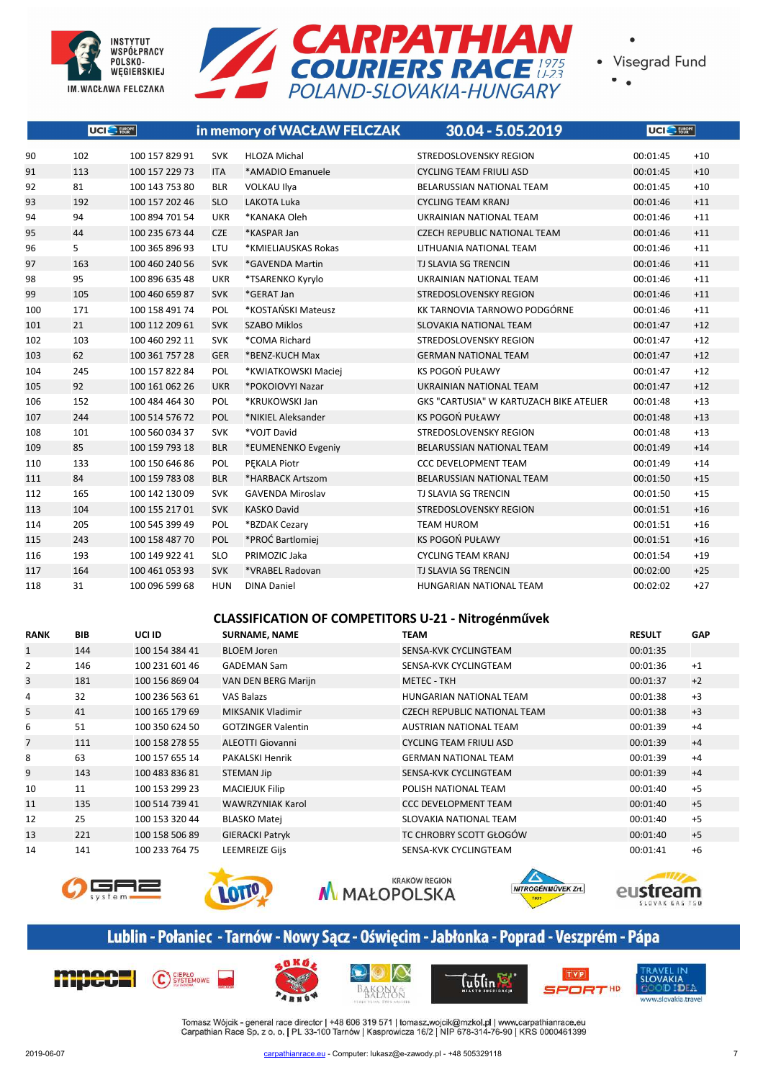



 $\bullet$ 

|     | UCI <sup>C</sup> - FURRATE |                |            | in memory of WACŁAW FELCZAK | 30.04 - 5.05.2019                       | UCI <sup>S</sup> FURGIPE |       |
|-----|----------------------------|----------------|------------|-----------------------------|-----------------------------------------|--------------------------|-------|
| 90  | 102                        | 100 157 829 91 | <b>SVK</b> | <b>HLOZA Michal</b>         | STREDOSLOVENSKY REGION                  | 00:01:45                 | $+10$ |
| 91  | 113                        | 100 157 229 73 | <b>ITA</b> | *AMADIO Emanuele            | <b>CYCLING TEAM FRIULI ASD</b>          | 00:01:45                 | $+10$ |
| 92  | 81                         | 100 143 753 80 | <b>BLR</b> | <b>VOLKAU Ilya</b>          | BELARUSSIAN NATIONAL TEAM               | 00:01:45                 | $+10$ |
| 93  | 192                        | 100 157 202 46 | <b>SLO</b> | LAKOTA Luka                 | <b>CYCLING TEAM KRANJ</b>               | 00:01:46                 | $+11$ |
| 94  | 94                         | 100 894 701 54 | UKR        | *KANAKA Oleh                | UKRAINIAN NATIONAL TEAM                 | 00:01:46                 | $+11$ |
| 95  | 44                         | 100 235 673 44 | <b>CZE</b> | *KASPAR Jan                 | <b>CZECH REPUBLIC NATIONAL TEAM</b>     | 00:01:46                 | $+11$ |
| 96  | 5                          | 100 365 896 93 | LTU        | *KMIELIAUSKAS Rokas         | LITHUANIA NATIONAL TEAM                 | 00:01:46                 | $+11$ |
| 97  | 163                        | 100 460 240 56 | <b>SVK</b> | *GAVENDA Martin             | TJ SLAVIA SG TRENCIN                    | 00:01:46                 | $+11$ |
| 98  | 95                         | 100 896 635 48 | <b>UKR</b> | *TSARENKO Kyrylo            | UKRAINIAN NATIONAL TEAM                 | 00:01:46                 | $+11$ |
| 99  | 105                        | 100 460 659 87 | <b>SVK</b> | *GERAT Jan                  | STREDOSLOVENSKY REGION                  | 00:01:46                 | $+11$ |
| 100 | 171                        | 100 158 491 74 | POL        | *KOSTAŃSKI Mateusz          | KK TARNOVIA TARNOWO PODGÓRNE            | 00:01:46                 | $+11$ |
| 101 | 21                         | 100 112 209 61 | <b>SVK</b> | <b>SZABO Miklos</b>         | SLOVAKIA NATIONAL TEAM                  | 00:01:47                 | $+12$ |
| 102 | 103                        | 100 460 292 11 | <b>SVK</b> | *COMA Richard               | STREDOSLOVENSKY REGION                  | 00:01:47                 | $+12$ |
| 103 | 62                         | 100 361 757 28 | <b>GER</b> | *BENZ-KUCH Max              | <b>GERMAN NATIONAL TEAM</b>             | 00:01:47                 | $+12$ |
| 104 | 245                        | 100 157 822 84 | POL        | *KWIATKOWSKI Maciej         | KS POGOŃ PUŁAWY                         | 00:01:47                 | $+12$ |
| 105 | 92                         | 100 161 062 26 | <b>UKR</b> | *POKOIOVYI Nazar            | UKRAINIAN NATIONAL TEAM                 | 00:01:47                 | $+12$ |
| 106 | 152                        | 100 484 464 30 | POL        | *KRUKOWSKI Jan              | GKS "CARTUSIA" W KARTUZACH BIKE ATELIER | 00:01:48                 | $+13$ |
| 107 | 244                        | 100 514 576 72 | POL        | *NIKIEL Aleksander          | <b>KS POGOŃ PUŁAWY</b>                  | 00:01:48                 | $+13$ |
| 108 | 101                        | 100 560 034 37 | <b>SVK</b> | *VOJT David                 | STREDOSLOVENSKY REGION                  | 00:01:48                 | $+13$ |
| 109 | 85                         | 100 159 793 18 | <b>BLR</b> | *EUMENENKO Evgeniy          | <b>BELARUSSIAN NATIONAL TEAM</b>        | 00:01:49                 | $+14$ |
| 110 | 133                        | 100 150 646 86 | POL        | PEKALA Piotr                | <b>CCC DEVELOPMENT TEAM</b>             | 00:01:49                 | $+14$ |
| 111 | 84                         | 100 159 783 08 | <b>BLR</b> | *HARBACK Artszom            | <b>BELARUSSIAN NATIONAL TEAM</b>        | 00:01:50                 | $+15$ |
| 112 | 165                        | 100 142 130 09 | <b>SVK</b> | <b>GAVENDA Miroslav</b>     | TJ SLAVIA SG TRENCIN                    | 00:01:50                 | $+15$ |
| 113 | 104                        | 100 155 217 01 | <b>SVK</b> | <b>KASKO David</b>          | STREDOSLOVENSKY REGION                  | 00:01:51                 | $+16$ |
| 114 | 205                        | 100 545 399 49 | POL        | *BZDAK Cezary               | <b>TEAM HUROM</b>                       | 00:01:51                 | $+16$ |
| 115 | 243                        | 100 158 487 70 | POL        | *PROĆ Bartlomiej            | <b>KS POGOŃ PUŁAWY</b>                  | 00:01:51                 | $+16$ |
| 116 | 193                        | 100 149 922 41 | <b>SLO</b> | PRIMOZIC Jaka               | <b>CYCLING TEAM KRANJ</b>               | 00:01:54                 | $+19$ |
| 117 | 164                        | 100 461 053 93 | <b>SVK</b> | *VRABEL Radovan             | TJ SLAVIA SG TRENCIN                    | 00:02:00                 | $+25$ |
| 118 | 31                         | 100 096 599 68 | <b>HUN</b> | <b>DINA Daniel</b>          | HUNGARIAN NATIONAL TEAM                 | 00:02:02                 | $+27$ |

#### **CLASSIFICATION OF COMPETITORS U-21 - Nitrogénművek**

| <b>RANK</b>    | BIB | UCI ID         | <b>SURNAME, NAME</b>      | <b>TEAM</b>                         | <b>RESULT</b> | <b>GAP</b> |
|----------------|-----|----------------|---------------------------|-------------------------------------|---------------|------------|
| 1              | 144 | 100 154 384 41 | <b>BLOEM Joren</b>        | SENSA-KVK CYCLINGTEAM               | 00:01:35      |            |
| $\overline{2}$ | 146 | 100 231 601 46 | <b>GADEMAN Sam</b>        | SENSA-KVK CYCLINGTEAM               | 00:01:36      | $+1$       |
| 3              | 181 | 100 156 869 04 | VAN DEN BERG Marijn       | <b>METEC - TKH</b>                  | 00:01:37      | $+2$       |
| 4              | 32  | 100 236 563 61 | <b>VAS Balazs</b>         | <b>HUNGARIAN NATIONAL TEAM</b>      | 00:01:38      | $+3$       |
| 5              | 41  | 100 165 179 69 | MIKSANIK Vladimir         | <b>CZECH REPUBLIC NATIONAL TEAM</b> | 00:01:38      | $+3$       |
| 6              | 51  | 100 350 624 50 | <b>GOTZINGER Valentin</b> | <b>AUSTRIAN NATIONAL TEAM</b>       | 00:01:39      | $+4$       |
| $\overline{7}$ | 111 | 100 158 278 55 | <b>ALEOTTI Giovanni</b>   | <b>CYCLING TEAM FRIULI ASD</b>      | 00:01:39      | $+4$       |
| 8              | 63  | 100 157 655 14 | PAKALSKI Henrik           | <b>GERMAN NATIONAL TEAM</b>         | 00:01:39      | $+4$       |
| 9              | 143 | 100 483 836 81 | STEMAN Jip                | SENSA-KVK CYCLINGTEAM               | 00:01:39      | $+4$       |
| 10             | 11  | 100 153 299 23 | <b>MACIEJUK Filip</b>     | POLISH NATIONAL TEAM                | 00:01:40      | $+5$       |
| 11             | 135 | 100 514 739 41 | <b>WAWRZYNIAK Karol</b>   | <b>CCC DEVELOPMENT TEAM</b>         | 00:01:40      | $+5$       |
| 12             | 25  | 100 153 320 44 | <b>BLASKO Matei</b>       | SLOVAKIA NATIONAL TEAM              | 00:01:40      | $+5$       |
| 13             | 221 | 100 158 506 89 | <b>GIERACKI Patryk</b>    | TC CHROBRY SCOTT GŁOGÓW             | 00:01:40      | $+5$       |
| 14             | 141 | 100 233 764 75 | <b>LEEMREIZE Gijs</b>     | SENSA-KVK CYCLINGTEAM               | 00:01:41      | $+6$       |











# Lublin - Połaniec - Tarnów - Nowy Sącz - Oświęcim - Jabłonka - Poprad - Veszprém - Pápa











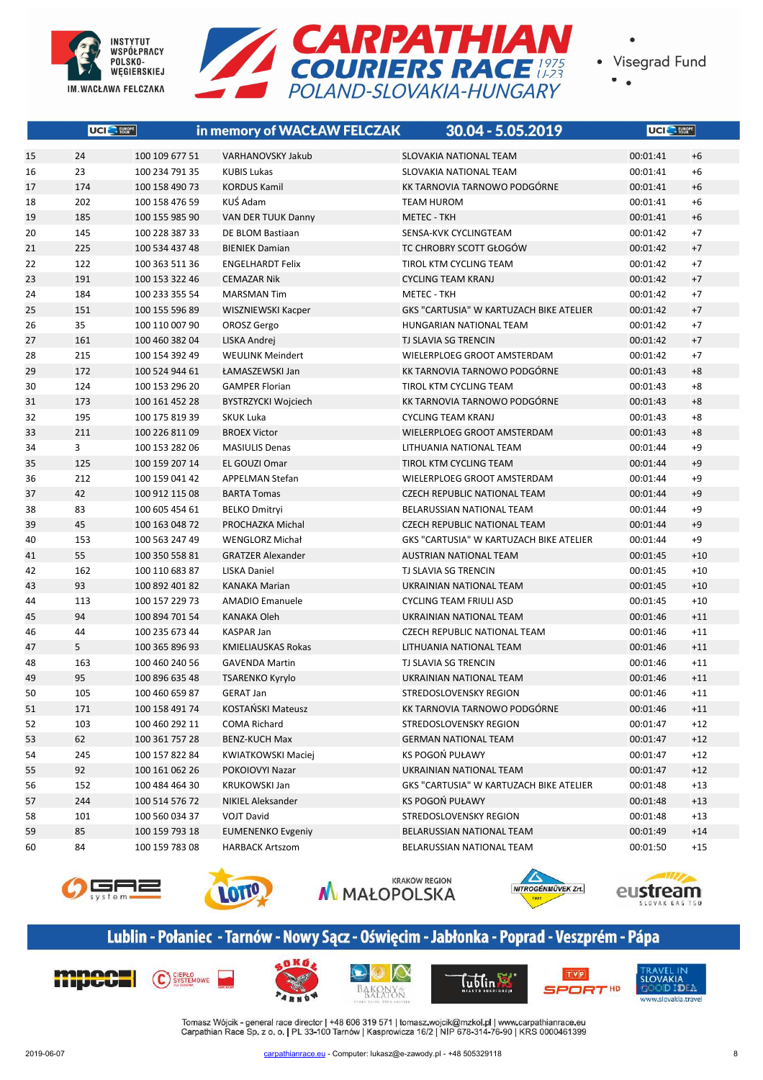



 $\bullet$ 

|    | UCI <sup>O</sup> FURRE |                | in memory of WACŁAW FELCZAK | 30.04 - 5.05.2019                       | UCI <sup>O</sup> FUSBRE |       |
|----|------------------------|----------------|-----------------------------|-----------------------------------------|-------------------------|-------|
| 15 | 24                     | 100 109 677 51 | <b>VARHANOVSKY Jakub</b>    | <b>SLOVAKIA NATIONAL TEAM</b>           | 00:01:41                | $+6$  |
| 16 | 23                     | 100 234 791 35 | <b>KUBIS Lukas</b>          | SLOVAKIA NATIONAL TEAM                  | 00:01:41                | $+6$  |
| 17 | 174                    | 100 158 490 73 | <b>KORDUS Kamil</b>         | KK TARNOVIA TARNOWO PODGÓRNE            | 00:01:41                | $+6$  |
| 18 | 202                    | 100 158 476 59 | KUŚ Adam                    | <b>TEAM HUROM</b>                       | 00:01:41                | $+6$  |
| 19 | 185                    | 100 155 985 90 | VAN DER TUUK Danny          | <b>METEC - TKH</b>                      | 00:01:41                | $+6$  |
| 20 | 145                    | 100 228 387 33 | DE BLOM Bastiaan            | SENSA-KVK CYCLINGTEAM                   | 00:01:42                | $+7$  |
| 21 | 225                    | 100 534 437 48 | <b>BIENIEK Damian</b>       | TC CHROBRY SCOTT GŁOGÓW                 | 00:01:42                | $+7$  |
| 22 | 122                    | 100 363 511 36 | <b>ENGELHARDT Felix</b>     | TIROL KTM CYCLING TEAM                  | 00:01:42                | $+7$  |
| 23 | 191                    | 100 153 322 46 | <b>CEMAZAR Nik</b>          | <b>CYCLING TEAM KRANJ</b>               | 00:01:42                | $+7$  |
| 24 | 184                    | 100 233 355 54 | <b>MARSMAN Tim</b>          | <b>METEC - TKH</b>                      | 00:01:42                | $+7$  |
| 25 | 151                    | 100 155 596 89 | WISZNIEWSKI Kacper          | GKS "CARTUSIA" W KARTUZACH BIKE ATELIER | 00:01:42                | $+7$  |
| 26 | 35                     | 100 110 007 90 | OROSZ Gergo                 | HUNGARIAN NATIONAL TEAM                 | 00:01:42                | $+7$  |
| 27 | 161                    | 100 460 382 04 | LISKA Andrej                | TJ SLAVIA SG TRENCIN                    | 00:01:42                | $+7$  |
| 28 | 215                    | 100 154 392 49 | <b>WEULINK Meindert</b>     | WIELERPLOEG GROOT AMSTERDAM             | 00:01:42                | $+7$  |
| 29 | 172                    | 100 524 944 61 | ŁAMASZEWSKI Jan             | KK TARNOVIA TARNOWO PODGÓRNE            | 00:01:43                | $+8$  |
| 30 | 124                    | 100 153 296 20 | <b>GAMPER Florian</b>       | TIROL KTM CYCLING TEAM                  | 00:01:43                | $+8$  |
| 31 | 173                    | 100 161 452 28 | BYSTRZYCKI Wojciech         | KK TARNOVIA TARNOWO PODGÓRNE            | 00:01:43                | $+8$  |
| 32 | 195                    | 100 175 819 39 | <b>SKUK Luka</b>            | <b>CYCLING TEAM KRANJ</b>               | 00:01:43                | $+8$  |
| 33 | 211                    | 100 226 811 09 | <b>BROEX Victor</b>         | WIELERPLOEG GROOT AMSTERDAM             | 00:01:43                | $+8$  |
| 34 | 3                      | 100 153 282 06 | <b>MASIULIS Denas</b>       | LITHUANIA NATIONAL TEAM                 | 00:01:44                | $+9$  |
| 35 | 125                    | 100 159 207 14 | EL GOUZI Omar               | TIROL KTM CYCLING TEAM                  | 00:01:44                | $+9$  |
| 36 | 212                    | 100 159 041 42 | <b>APPELMAN Stefan</b>      | WIELERPLOEG GROOT AMSTERDAM             | 00:01:44                | $+9$  |
| 37 | 42                     | 100 912 115 08 | <b>BARTA Tomas</b>          | <b>CZECH REPUBLIC NATIONAL TEAM</b>     | 00:01:44                | $+9$  |
| 38 | 83                     | 100 605 454 61 | <b>BELKO Dmitryi</b>        | BELARUSSIAN NATIONAL TEAM               | 00:01:44                | $+9$  |
| 39 | 45                     | 100 163 048 72 | PROCHAZKA Michal            | <b>CZECH REPUBLIC NATIONAL TEAM</b>     | 00:01:44                | $+9$  |
| 40 | 153                    | 100 563 247 49 | <b>WENGLORZ Michał</b>      | GKS "CARTUSIA" W KARTUZACH BIKE ATELIER | 00:01:44                | $+9$  |
| 41 | 55                     | 100 350 558 81 | <b>GRATZER Alexander</b>    | AUSTRIAN NATIONAL TEAM                  | 00:01:45                | $+10$ |
| 42 | 162                    | 100 110 683 87 | LISKA Daniel                | TJ SLAVIA SG TRENCIN                    | 00:01:45                | $+10$ |
| 43 | 93                     | 100 892 401 82 | <b>KANAKA Marian</b>        | UKRAINIAN NATIONAL TEAM                 | 00:01:45                | $+10$ |
| 44 | 113                    | 100 157 229 73 | <b>AMADIO Emanuele</b>      | <b>CYCLING TEAM FRIULI ASD</b>          | 00:01:45                | $+10$ |
| 45 | 94                     | 100 894 701 54 | <b>KANAKA Oleh</b>          | UKRAINIAN NATIONAL TEAM                 | 00:01:46                | $+11$ |
| 46 | 44                     | 100 235 673 44 | <b>KASPAR Jan</b>           | <b>CZECH REPUBLIC NATIONAL TEAM</b>     | 00:01:46                | $+11$ |
| 47 | 5                      | 100 365 896 93 | KMIELIAUSKAS Rokas          | LITHUANIA NATIONAL TEAM                 | 00:01:46                | $+11$ |
| 48 | 163                    | 100 460 240 56 | <b>GAVENDA Martin</b>       | TJ SLAVIA SG TRENCIN                    | 00:01:46                | $+11$ |
| 49 | 95                     | 100 896 635 48 | <b>TSARENKO Kyrylo</b>      | UKRAINIAN NATIONAL TEAM                 | 00:01:46                | $+11$ |
| 50 | 105                    | 100 460 659 87 | <b>GERAT Jan</b>            | STREDOSLOVENSKY REGION                  | 00:01:46                | $+11$ |
| 51 | 171                    | 100 158 491 74 | KOSTAŃSKI Mateusz           | KK TARNOVIA TARNOWO PODGÓRNE            | 00:01:46                | $+11$ |
| 52 | 103                    | 100 460 292 11 | COMA Richard                | STREDOSLOVENSKY REGION                  | 00:01:47                | $+12$ |
| 53 | 62                     | 100 361 757 28 | <b>BENZ-KUCH Max</b>        | <b>GERMAN NATIONAL TEAM</b>             | 00:01:47                | $+12$ |
| 54 | 245                    | 100 157 822 84 | KWIATKOWSKI Maciej          | KS POGOŃ PUŁAWY                         | 00:01:47                | $+12$ |
| 55 | 92                     | 100 161 062 26 | POKOIOVYI Nazar             | UKRAINIAN NATIONAL TEAM                 | 00:01:47                | $+12$ |
| 56 | 152                    | 100 484 464 30 | <b>KRUKOWSKI Jan</b>        | GKS "CARTUSIA" W KARTUZACH BIKE ATELIER | 00:01:48                | $+13$ |
| 57 | 244                    | 100 514 576 72 | NIKIEL Aleksander           | KS POGOŃ PUŁAWY                         | 00:01:48                | $+13$ |
| 58 | 101                    | 100 560 034 37 | <b>VOJT David</b>           | STREDOSLOVENSKY REGION                  | 00:01:48                | $+13$ |
| 59 | 85                     | 100 159 793 18 | <b>EUMENENKO Evgeniy</b>    | BELARUSSIAN NATIONAL TEAM               | 00:01:49                | $+14$ |
| 60 | 84                     | 100 159 783 08 | <b>HARBACK Artszom</b>      | BELARUSSIAN NATIONAL TEAM               | 00:01:50                | $+15$ |











# Lublin - Połaniec - Tarnów - Nowy Sącz - Oświęcim - Jabłonka - Poprad - Veszprém - Pápa











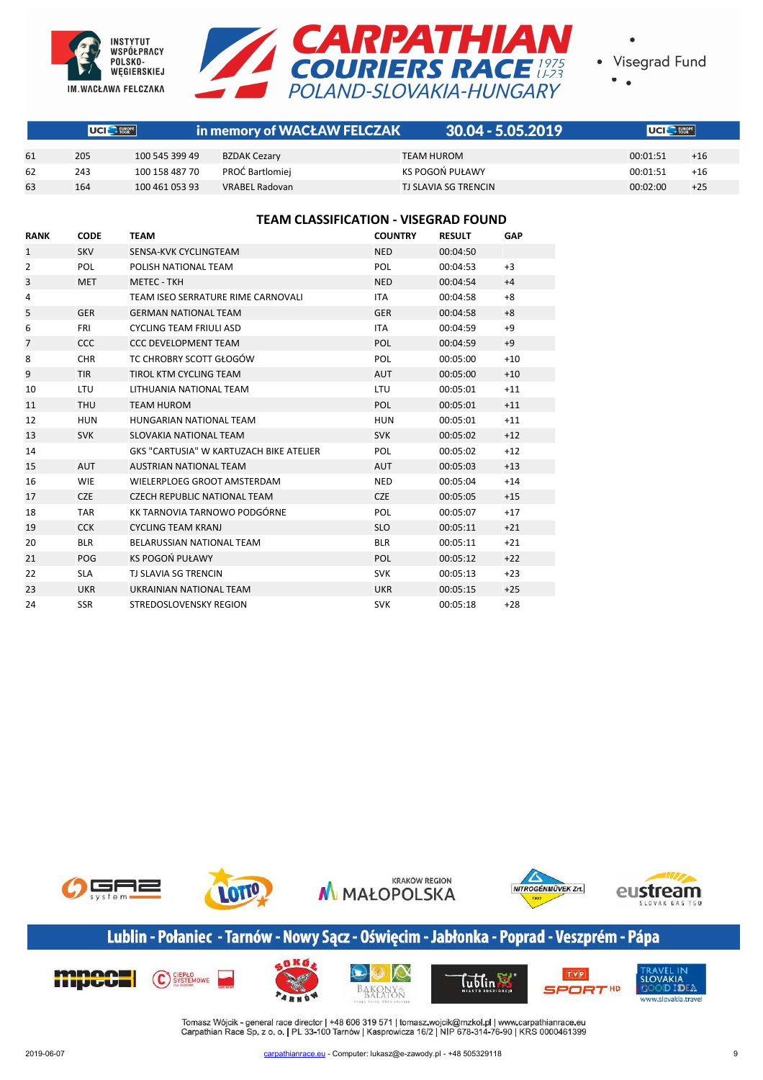



|                                 | $\sim$ |
|---------------------------------|--------|
| $\sim$ $\sim$<br>$\overline{a}$ |        |
|                                 |        |
| ۰.<br>×<br>÷<br>т               |        |

|    | UCI HEROPE |                | in memory of WACŁAW FELCZAK | $30.04 - 5.05.2019$  | UCI E FUROPE |       |
|----|------------|----------------|-----------------------------|----------------------|--------------|-------|
|    |            |                |                             |                      |              |       |
| 61 | 205        | 100 545 399 49 | <b>BZDAK Cezary</b>         | TEAM HUROM           | 00:01:51     | $+16$ |
| 62 | 243        | 100 158 487 70 | PROĆ Bartlomiej             | KS POGOŃ PUŁAWY      | 00:01:51     | $+16$ |
| 63 | 164        | 100 461 053 93 | <b>VRABEL Radovan</b>       | TJ SLAVIA SG TRENCIN | 00:02:00     | $+25$ |

#### **TEAM CLASSIFICATION - VISEGRAD FOUND**

| <b>RANK</b>    | <b>CODE</b> | <b>TEAM</b>                             | <b>COUNTRY</b> | <b>RESULT</b> | GAP   |
|----------------|-------------|-----------------------------------------|----------------|---------------|-------|
| $\mathbf{1}$   | <b>SKV</b>  | SENSA-KVK CYCLINGTEAM                   | <b>NED</b>     | 00:04:50      |       |
| 2              | <b>POL</b>  | POLISH NATIONAL TEAM                    | POL            | 00:04:53      | $+3$  |
| 3              | <b>MET</b>  | <b>METEC - TKH</b>                      | <b>NED</b>     | 00:04:54      | $+4$  |
| 4              |             | TEAM ISEO SERRATURE RIME CARNOVALI      | <b>ITA</b>     | 00:04:58      | $+8$  |
| 5              | <b>GER</b>  | <b>GERMAN NATIONAL TEAM</b>             | <b>GER</b>     | 00:04:58      | $+8$  |
| 6              | <b>FRI</b>  | <b>CYCLING TEAM FRIULI ASD</b>          | <b>ITA</b>     | 00:04:59      | $+9$  |
| $\overline{7}$ | <b>CCC</b>  | <b>CCC DEVELOPMENT TEAM</b>             | <b>POL</b>     | 00:04:59      | $+9$  |
| 8              | <b>CHR</b>  | TC CHROBRY SCOTT GŁOGÓW                 | POL            | 00:05:00      | $+10$ |
| 9              | <b>TIR</b>  | <b>TIROL KTM CYCLING TEAM</b>           | <b>AUT</b>     | 00:05:00      | $+10$ |
| 10             | <b>LTU</b>  | LITHUANIA NATIONAL TEAM                 | LTU            | 00:05:01      | $+11$ |
| 11             | <b>THU</b>  | <b>TEAM HUROM</b>                       | <b>POL</b>     | 00:05:01      | $+11$ |
| 12             | <b>HUN</b>  | HUNGARIAN NATIONAL TEAM                 | <b>HUN</b>     | 00:05:01      | $+11$ |
| 13             | <b>SVK</b>  | SLOVAKIA NATIONAL TEAM                  | <b>SVK</b>     | 00:05:02      | $+12$ |
| 14             |             | GKS "CARTUSIA" W KARTUZACH BIKE ATELIER | <b>POL</b>     | 00:05:02      | $+12$ |
| 15             | <b>AUT</b>  | <b>AUSTRIAN NATIONAL TEAM</b>           | <b>AUT</b>     | 00:05:03      | $+13$ |
| 16             | <b>WIE</b>  | WIELERPLOEG GROOT AMSTERDAM             | <b>NED</b>     | 00:05:04      | $+14$ |
| 17             | <b>CZE</b>  | <b>CZECH REPUBLIC NATIONAL TEAM</b>     | <b>CZE</b>     | 00:05:05      | $+15$ |
| 18             | <b>TAR</b>  | KK TARNOVIA TARNOWO PODGÓRNE            | POL            | 00:05:07      | $+17$ |
| 19             | <b>CCK</b>  | <b>CYCLING TEAM KRANJ</b>               | <b>SLO</b>     | 00:05:11      | $+21$ |
| 20             | <b>BLR</b>  | BELARUSSIAN NATIONAL TEAM               | <b>BLR</b>     | 00:05:11      | $+21$ |
| 21             | POG         | KS POGOŃ PUŁAWY                         | <b>POL</b>     | 00:05:12      | $+22$ |
| 22             | <b>SLA</b>  | <b>TJ SLAVIA SG TRENCIN</b>             | <b>SVK</b>     | 00:05:13      | $+23$ |
| 23             | <b>UKR</b>  | UKRAINIAN NATIONAL TEAM                 | <b>UKR</b>     | 00:05:15      | $+25$ |
| 24             | <b>SSR</b>  | STREDOSLOVENSKY REGION                  | <b>SVK</b>     | 00:05:18      | $+28$ |



# Lublin - Połaniec - Tarnów - Nowy Sącz - Oświęcim - Jabłonka - Poprad - Veszprém - Pápa

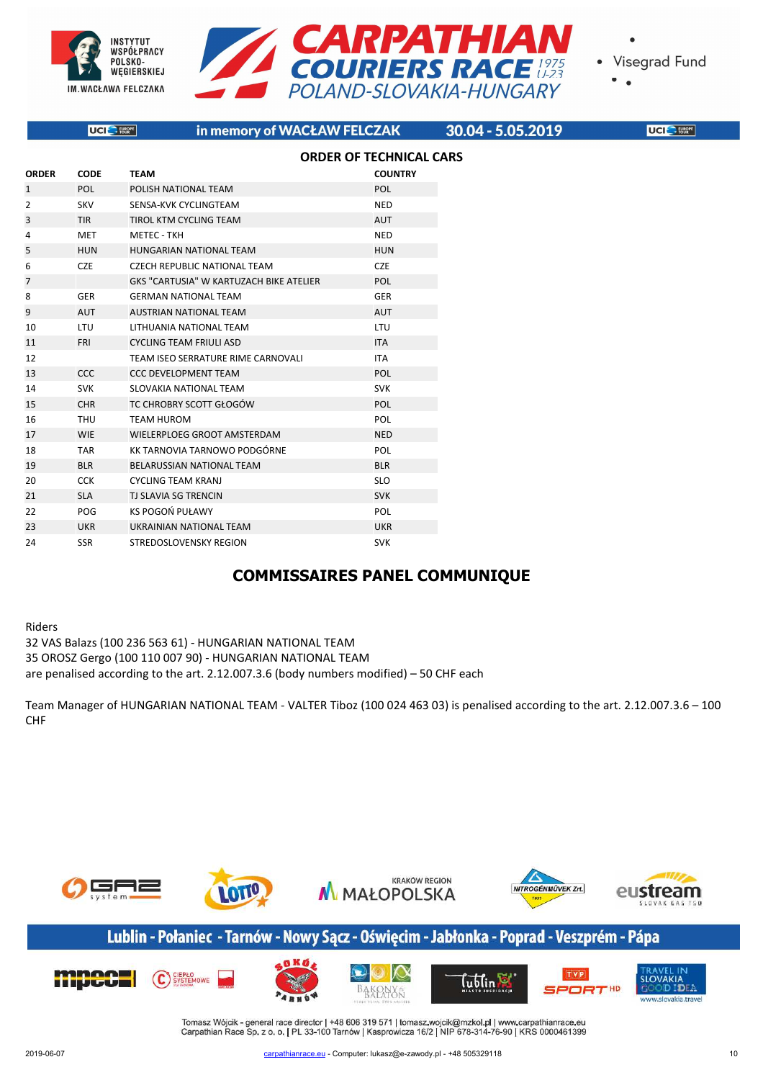



|                                | UCI <sup>O</sup> - FURGPE | in memory of WACŁAW FELCZAK             |                | 30.04 - 5.05.2019 | UCI <sup>O</sup> FUNC |  |  |  |  |
|--------------------------------|---------------------------|-----------------------------------------|----------------|-------------------|-----------------------|--|--|--|--|
| <b>ORDER OF TECHNICAL CARS</b> |                           |                                         |                |                   |                       |  |  |  |  |
| <b>ORDER</b>                   | <b>CODE</b>               | <b>TEAM</b>                             | <b>COUNTRY</b> |                   |                       |  |  |  |  |
| $\mathbf{1}$                   | <b>POL</b>                | POLISH NATIONAL TEAM                    | POL            |                   |                       |  |  |  |  |
| $\overline{2}$                 | SKV                       | SENSA-KVK CYCLINGTEAM                   | <b>NED</b>     |                   |                       |  |  |  |  |
| 3                              | TIR                       | TIROL KTM CYCLING TEAM                  | <b>AUT</b>     |                   |                       |  |  |  |  |
| 4                              | <b>MET</b>                | <b>METEC - TKH</b>                      | <b>NED</b>     |                   |                       |  |  |  |  |
| 5                              | <b>HUN</b>                | HUNGARIAN NATIONAL TEAM                 | <b>HUN</b>     |                   |                       |  |  |  |  |
| 6                              | <b>CZE</b>                | <b>CZECH REPUBLIC NATIONAL TEAM</b>     | <b>CZE</b>     |                   |                       |  |  |  |  |
| 7                              |                           | GKS "CARTUSIA" W KARTUZACH BIKE ATELIER | POL            |                   |                       |  |  |  |  |
| 8                              | GER                       | <b>GERMAN NATIONAL TEAM</b>             | <b>GER</b>     |                   |                       |  |  |  |  |
| 9                              | AUT                       | <b>AUSTRIAN NATIONAL TEAM</b>           | <b>AUT</b>     |                   |                       |  |  |  |  |
| 10                             | <b>LTU</b>                | LITHUANIA NATIONAL TEAM                 | LTU            |                   |                       |  |  |  |  |
| 11                             | <b>FRI</b>                | <b>CYCLING TEAM FRIULI ASD</b>          | <b>ITA</b>     |                   |                       |  |  |  |  |
| 12                             |                           | TEAM ISEO SERRATURE RIME CARNOVALI      | <b>ITA</b>     |                   |                       |  |  |  |  |
| 13                             | <b>CCC</b>                | <b>CCC DEVELOPMENT TEAM</b>             | POL            |                   |                       |  |  |  |  |
| 14                             | <b>SVK</b>                | SLOVAKIA NATIONAL TEAM                  | <b>SVK</b>     |                   |                       |  |  |  |  |
| 15                             | <b>CHR</b>                | TC CHROBRY SCOTT GŁOGÓW                 | POL            |                   |                       |  |  |  |  |
| 16                             | THU                       | <b>TEAM HUROM</b>                       | POL            |                   |                       |  |  |  |  |
| 17                             | <b>WIE</b>                | WIELERPLOEG GROOT AMSTERDAM             | <b>NED</b>     |                   |                       |  |  |  |  |
| 18                             | <b>TAR</b>                | KK TARNOVIA TARNOWO PODGÓRNE            | POL            |                   |                       |  |  |  |  |
| 19                             | <b>BLR</b>                | BELARUSSIAN NATIONAL TEAM               | <b>BLR</b>     |                   |                       |  |  |  |  |
| 20                             | <b>CCK</b>                | <b>CYCLING TEAM KRANJ</b>               | <b>SLO</b>     |                   |                       |  |  |  |  |
| 21                             | <b>SLA</b>                | TJ SLAVIA SG TRENCIN                    | <b>SVK</b>     |                   |                       |  |  |  |  |
| 22                             | POG                       | KS POGOŃ PUŁAWY                         | POL            |                   |                       |  |  |  |  |
| 23                             | <b>UKR</b>                | UKRAINIAN NATIONAL TEAM                 | <b>UKR</b>     |                   |                       |  |  |  |  |
| 24                             | <b>SSR</b>                | <b>STREDOSLOVENSKY REGION</b>           | <b>SVK</b>     |                   |                       |  |  |  |  |

# **COMMISSAIRES PANEL COMMUNIQUE**

Riders 32 VAS Balazs (100 236 563 61) - HUNGARIAN NATIONAL TEAM 35 OROSZ Gergo (100 110 007 90) - HUNGARIAN NATIONAL TEAM are penalised according to the art. 2.12.007.3.6 (body numbers modified) – 50 CHF each

Team Manager of HUNGARIAN NATIONAL TEAM - VALTER Tiboz (100 024 463 03) is penalised according to the art. 2.12.007.3.6 – 100 CHF



### Lublin - Połaniec - Tarnów - Nowy Sącz - Oświęcim - Jabłonka - Poprad - Veszprém - Pápa

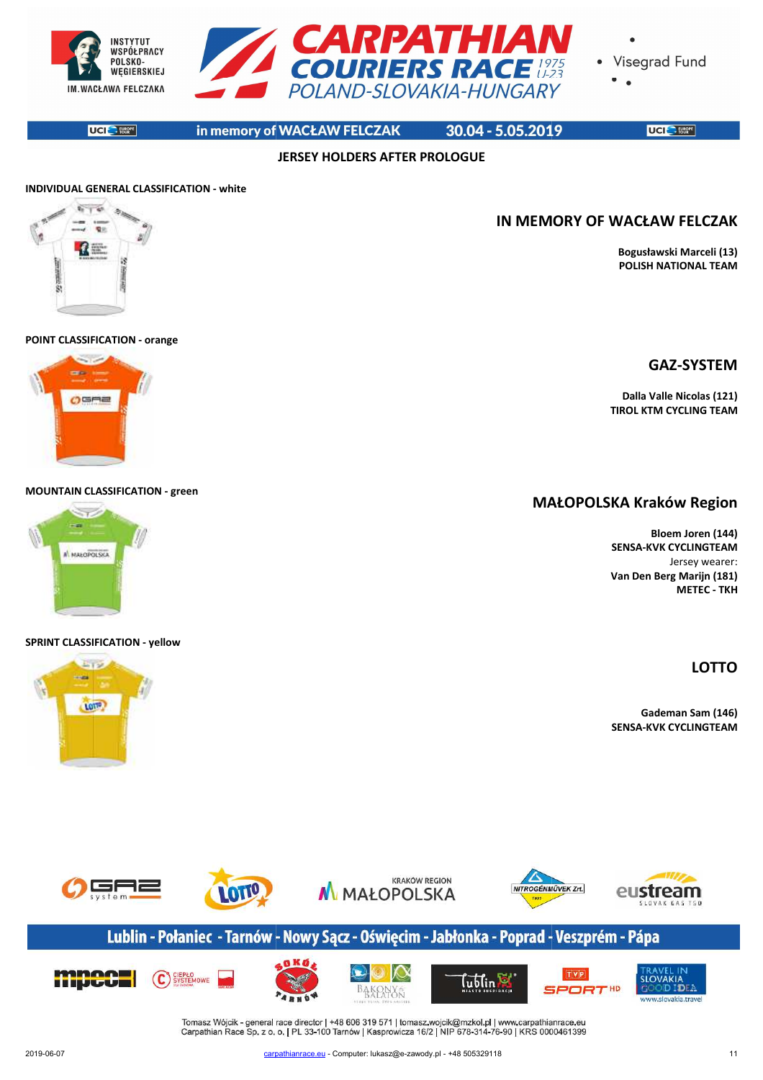

**JERSEY HOLDERS AFTER PROLOGUE**

**UCI** BERRE

POLSKO-

in memory of WACŁAW FELCZAK

30.04 - 5.05.2019

UCI<sup>C</sup> FUSER<sup></sup>

**Bogusławski Marceli (13) POLISH NATIONAL TEAM**

**GAZ-SYSTEM**

**Dalla Valle Nicolas (121) TIROL KTM CYCLING TEAM**

**IN MEMORY OF WACŁAW FELCZAK**

# **INDIVIDUAL GENERAL CLASSIFICATION - white**

#### **POINT CLASSIFICATION - orange**

# me.  $O<sub>CH</sub>$

#### **MOUNTAIN CLASSIFICATION - green**



#### **SPRINT CLASSIFICATION - yellow**

**Fireway** 

# LOTIO



# Lublin - Połaniec - Tarnów - Nowy Sącz - Oświęcim - Jabłonka - Poprad - Veszprém - Pápa



Tomasz Wójcik - general race director | +48 606 319 571 | tomasz wojcik@mzkol.pl | www.carpathianrace.eu<br>Carpathian Race Sp. z o. o. | PL 33-100 Tarnów | Kasprowicza 16/2 | NIP 678-314-76-90 | KRS 0000461399



### **MAŁOPOLSKA MAŁOPOLSKA Kraków Region**

**Bloem Joren (144) SENSA-KVK CYCLINGTEAM** Jersey wearer: **Van Den Berg Marijn (181) METEC - TKH**

# **LOTTO**

**Gademan Sam (146) SENSA-KVK CYCLINGTEAM**

2019-06-07 carpa carpathianrace.eu - Computer: lukasz@e-zawody.pl - +48 505329118